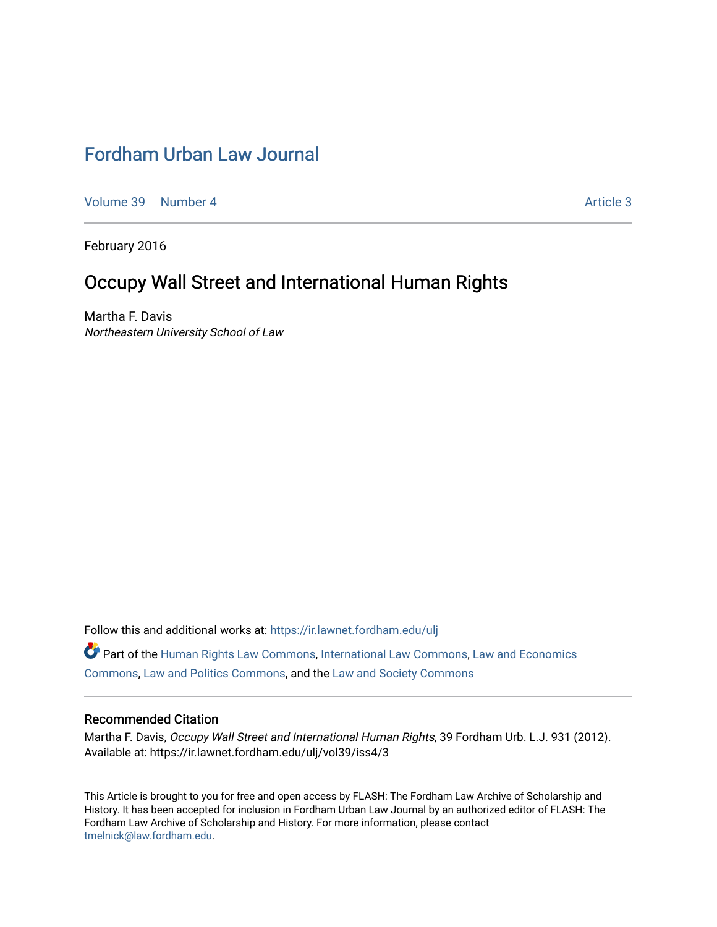# [Fordham Urban Law Journal](https://ir.lawnet.fordham.edu/ulj)

[Volume 39](https://ir.lawnet.fordham.edu/ulj/vol39) [Number 4](https://ir.lawnet.fordham.edu/ulj/vol39/iss4) Article 3

February 2016

# Occupy Wall Street and International Human Rights

Martha F. Davis Northeastern University School of Law

Follow this and additional works at: [https://ir.lawnet.fordham.edu/ulj](https://ir.lawnet.fordham.edu/ulj?utm_source=ir.lawnet.fordham.edu%2Fulj%2Fvol39%2Fiss4%2F3&utm_medium=PDF&utm_campaign=PDFCoverPages) 

Part of the [Human Rights Law Commons,](http://network.bepress.com/hgg/discipline/847?utm_source=ir.lawnet.fordham.edu%2Fulj%2Fvol39%2Fiss4%2F3&utm_medium=PDF&utm_campaign=PDFCoverPages) [International Law Commons](http://network.bepress.com/hgg/discipline/609?utm_source=ir.lawnet.fordham.edu%2Fulj%2Fvol39%2Fiss4%2F3&utm_medium=PDF&utm_campaign=PDFCoverPages), [Law and Economics](http://network.bepress.com/hgg/discipline/612?utm_source=ir.lawnet.fordham.edu%2Fulj%2Fvol39%2Fiss4%2F3&utm_medium=PDF&utm_campaign=PDFCoverPages)  [Commons](http://network.bepress.com/hgg/discipline/612?utm_source=ir.lawnet.fordham.edu%2Fulj%2Fvol39%2Fiss4%2F3&utm_medium=PDF&utm_campaign=PDFCoverPages), [Law and Politics Commons,](http://network.bepress.com/hgg/discipline/867?utm_source=ir.lawnet.fordham.edu%2Fulj%2Fvol39%2Fiss4%2F3&utm_medium=PDF&utm_campaign=PDFCoverPages) and the [Law and Society Commons](http://network.bepress.com/hgg/discipline/853?utm_source=ir.lawnet.fordham.edu%2Fulj%2Fvol39%2Fiss4%2F3&utm_medium=PDF&utm_campaign=PDFCoverPages) 

#### Recommended Citation

Martha F. Davis, Occupy Wall Street and International Human Rights, 39 Fordham Urb. L.J. 931 (2012). Available at: https://ir.lawnet.fordham.edu/ulj/vol39/iss4/3

This Article is brought to you for free and open access by FLASH: The Fordham Law Archive of Scholarship and History. It has been accepted for inclusion in Fordham Urban Law Journal by an authorized editor of FLASH: The Fordham Law Archive of Scholarship and History. For more information, please contact [tmelnick@law.fordham.edu](mailto:tmelnick@law.fordham.edu).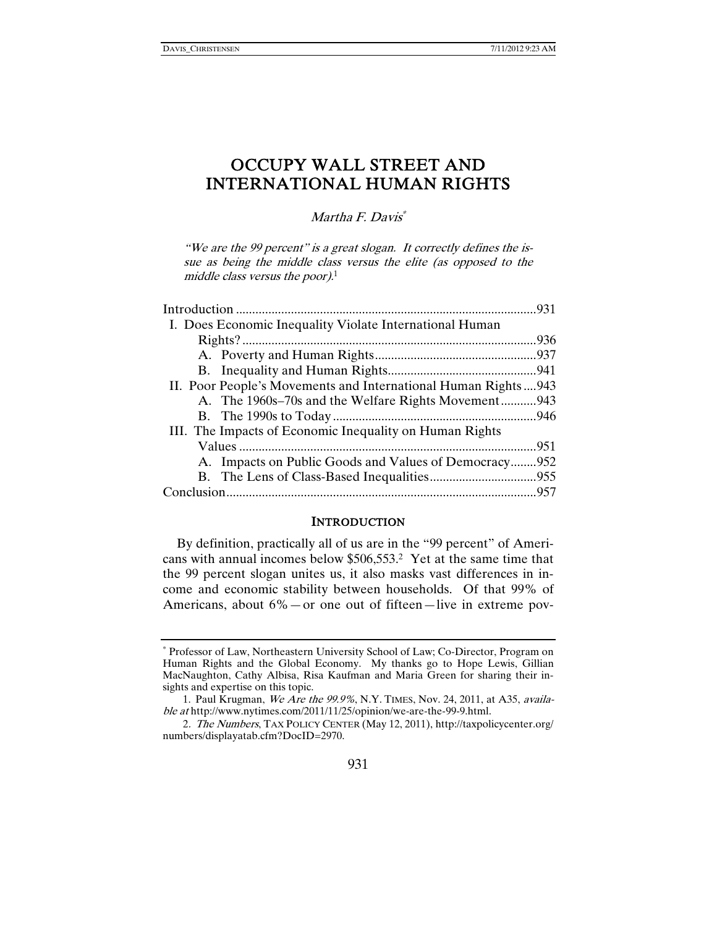# OCCUPY WALL STREET AND INTERNATIONAL HUMAN RIGHTS

Martha F. Davis<sup>\*</sup>

"We are the 99 percent" is a great slogan. It correctly defines the issue as being the middle class versus the elite (as opposed to the middle class versus the poor). $1$ 

| I. Does Economic Inequality Violate International Human       |  |
|---------------------------------------------------------------|--|
|                                                               |  |
|                                                               |  |
|                                                               |  |
| II. Poor People's Movements and International Human Rights943 |  |
| A. The 1960s–70s and the Welfare Rights Movement943           |  |
|                                                               |  |
| III. The Impacts of Economic Inequality on Human Rights       |  |
|                                                               |  |
| A. Impacts on Public Goods and Values of Democracy952         |  |
|                                                               |  |
|                                                               |  |
|                                                               |  |

#### **INTRODUCTION**

By definition, practically all of us are in the "99 percent" of Americans with annual incomes below \$506,553.2 Yet at the same time that the 99 percent slogan unites us, it also masks vast differences in income and economic stability between households. Of that 99% of Americans, about 6%—or one out of fifteen—live in extreme pov-

<sup>∗</sup> Professor of Law, Northeastern University School of Law; Co-Director, Program on Human Rights and the Global Economy. My thanks go to Hope Lewis, Gillian MacNaughton, Cathy Albisa, Risa Kaufman and Maria Green for sharing their insights and expertise on this topic.

<sup>1.</sup> Paul Krugman, We Are the 99.9%, N.Y. TIMES, Nov. 24, 2011, at A35, available at http://www.nytimes.com/2011/11/25/opinion/we-are-the-99-9.html.

<sup>2</sup>. The Numbers, TAX POLICY CENTER (May 12, 2011), http://taxpolicycenter.org/ numbers/displayatab.cfm?DocID=2970.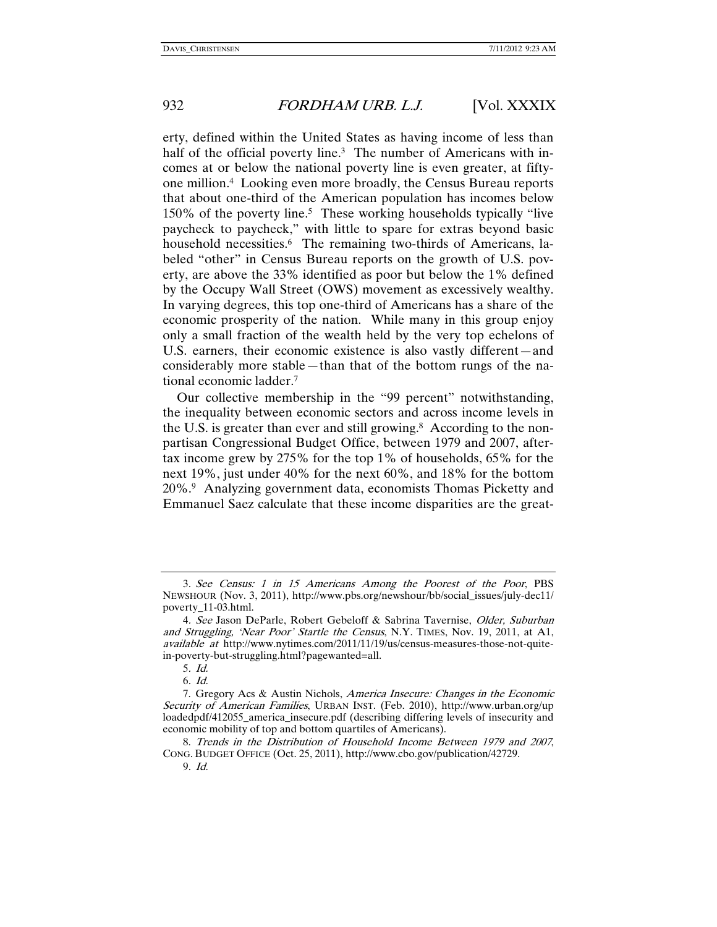erty, defined within the United States as having income of less than half of the official poverty line.<sup>3</sup> The number of Americans with incomes at or below the national poverty line is even greater, at fiftyone million.4 Looking even more broadly, the Census Bureau reports that about one-third of the American population has incomes below 150% of the poverty line.5 These working households typically "live paycheck to paycheck," with little to spare for extras beyond basic household necessities.<sup>6</sup> The remaining two-thirds of Americans, labeled "other" in Census Bureau reports on the growth of U.S. poverty, are above the 33% identified as poor but below the 1% defined by the Occupy Wall Street (OWS) movement as excessively wealthy. In varying degrees, this top one-third of Americans has a share of the economic prosperity of the nation. While many in this group enjoy only a small fraction of the wealth held by the very top echelons of U.S. earners, their economic existence is also vastly different—and considerably more stable—than that of the bottom rungs of the national economic ladder.7

Our collective membership in the "99 percent" notwithstanding, the inequality between economic sectors and across income levels in the U.S. is greater than ever and still growing.<sup>8</sup> According to the nonpartisan Congressional Budget Office, between 1979 and 2007, aftertax income grew by 275% for the top 1% of households, 65% for the next 19%, just under 40% for the next 60%, and 18% for the bottom 20%.9 Analyzing government data, economists Thomas Picketty and Emmanuel Saez calculate that these income disparities are the great-

<sup>3</sup>. See Census: 1 in 15 Americans Among the Poorest of the Poor, PBS NEWSHOUR (Nov. 3, 2011), http://www.pbs.org/newshour/bb/social\_issues/july-dec11/ poverty\_11-03.html.

<sup>4</sup>. See Jason DeParle, Robert Gebeloff & Sabrina Tavernise, Older, Suburban and Struggling, 'Near Poor' Startle the Census, N.Y. TIMES, Nov. 19, 2011, at A1, available at http://www.nytimes.com/2011/11/19/us/census-measures-those-not-quitein-poverty-but-struggling.html?pagewanted=all.

<sup>5</sup>. Id.

<sup>6</sup>. Id.

 <sup>7.</sup> Gregory Acs & Austin Nichols, America Insecure: Changes in the Economic Security of American Families, URBAN INST. (Feb. 2010), http://www.urban.org/up loadedpdf/412055\_america\_insecure.pdf (describing differing levels of insecurity and economic mobility of top and bottom quartiles of Americans).

 <sup>8.</sup> Trends in the Distribution of Household Income Between 1979 and 2007, CONG. BUDGET OFFICE (Oct. 25, 2011), http://www.cbo.gov/publication/42729.

<sup>9</sup>. Id.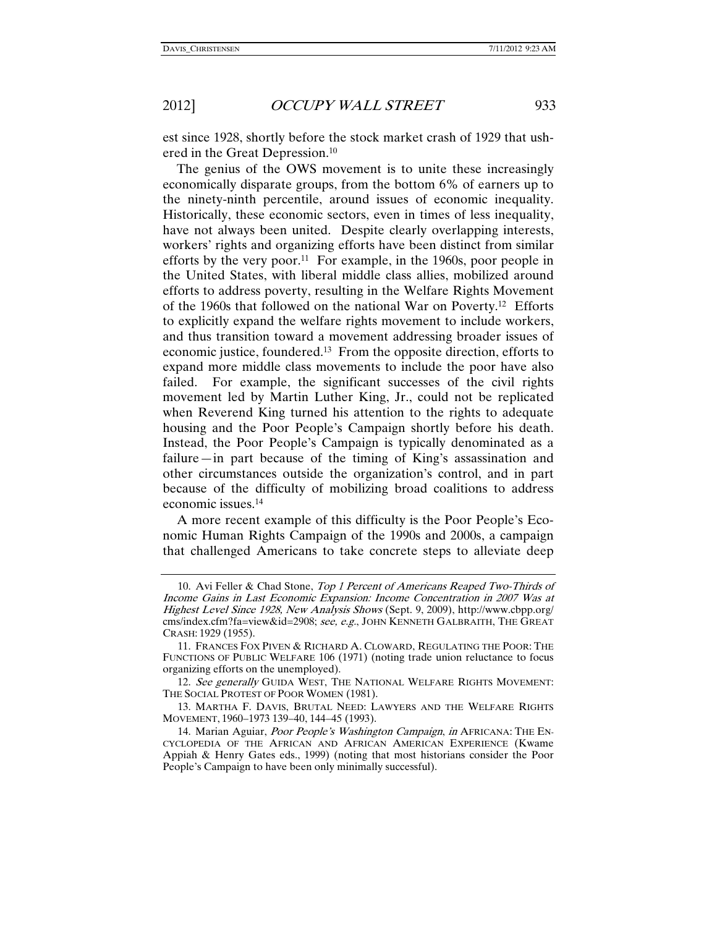est since 1928, shortly before the stock market crash of 1929 that ushered in the Great Depression.10

The genius of the OWS movement is to unite these increasingly economically disparate groups, from the bottom 6% of earners up to the ninety-ninth percentile, around issues of economic inequality. Historically, these economic sectors, even in times of less inequality, have not always been united. Despite clearly overlapping interests, workers' rights and organizing efforts have been distinct from similar efforts by the very poor.<sup>11</sup> For example, in the 1960s, poor people in the United States, with liberal middle class allies, mobilized around efforts to address poverty, resulting in the Welfare Rights Movement of the 1960s that followed on the national War on Poverty.12 Efforts to explicitly expand the welfare rights movement to include workers, and thus transition toward a movement addressing broader issues of economic justice, foundered.13 From the opposite direction, efforts to expand more middle class movements to include the poor have also failed. For example, the significant successes of the civil rights movement led by Martin Luther King, Jr., could not be replicated when Reverend King turned his attention to the rights to adequate housing and the Poor People's Campaign shortly before his death. Instead, the Poor People's Campaign is typically denominated as a failure—in part because of the timing of King's assassination and other circumstances outside the organization's control, and in part because of the difficulty of mobilizing broad coalitions to address economic issues.14

A more recent example of this difficulty is the Poor People's Economic Human Rights Campaign of the 1990s and 2000s, a campaign that challenged Americans to take concrete steps to alleviate deep

 <sup>10.</sup> Avi Feller & Chad Stone, Top 1 Percent of Americans Reaped Two-Thirds of Income Gains in Last Economic Expansion: Income Concentration in 2007 Was at Highest Level Since 1928, New Analysis Shows (Sept. 9, 2009), http://www.cbpp.org/ cms/index.cfm?fa=view&id=2908; see, e.g., JOHN KENNETH GALBRAITH, THE GREAT CRASH: 1929 (1955).

 <sup>11.</sup> FRANCES FOX PIVEN & RICHARD A. CLOWARD, REGULATING THE POOR: THE FUNCTIONS OF PUBLIC WELFARE 106 (1971) (noting trade union reluctance to focus organizing efforts on the unemployed).

<sup>12.</sup> See generally GUIDA WEST, THE NATIONAL WELFARE RIGHTS MOVEMENT: THE SOCIAL PROTEST OF POOR WOMEN (1981).

 <sup>13.</sup> MARTHA F. DAVIS, BRUTAL NEED: LAWYERS AND THE WELFARE RIGHTS MOVEMENT, 1960–1973 139–40, 144–45 (1993).

<sup>14.</sup> Marian Aguiar, Poor People's Washington Campaign, in AFRICANA: THE EN-CYCLOPEDIA OF THE AFRICAN AND AFRICAN AMERICAN EXPERIENCE (Kwame Appiah & Henry Gates eds., 1999) (noting that most historians consider the Poor People's Campaign to have been only minimally successful).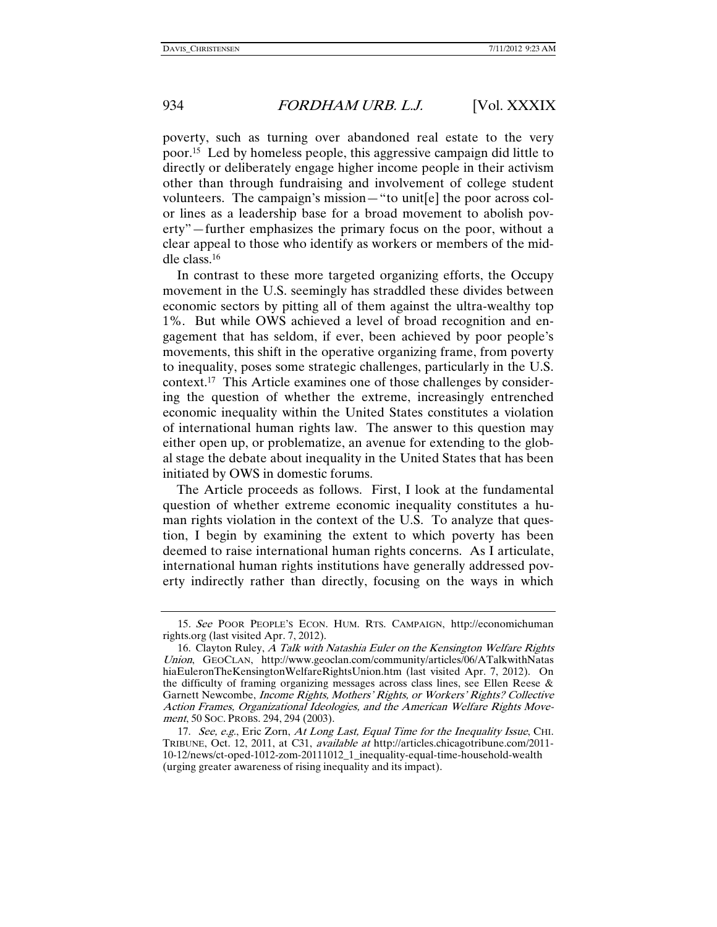poverty, such as turning over abandoned real estate to the very poor.15 Led by homeless people, this aggressive campaign did little to directly or deliberately engage higher income people in their activism other than through fundraising and involvement of college student volunteers. The campaign's mission—"to unit[e] the poor across color lines as a leadership base for a broad movement to abolish poverty"—further emphasizes the primary focus on the poor, without a clear appeal to those who identify as workers or members of the middle class.16

In contrast to these more targeted organizing efforts, the Occupy movement in the U.S. seemingly has straddled these divides between economic sectors by pitting all of them against the ultra-wealthy top 1%. But while OWS achieved a level of broad recognition and engagement that has seldom, if ever, been achieved by poor people's movements, this shift in the operative organizing frame, from poverty to inequality, poses some strategic challenges, particularly in the U.S. context.17 This Article examines one of those challenges by considering the question of whether the extreme, increasingly entrenched economic inequality within the United States constitutes a violation of international human rights law. The answer to this question may either open up, or problematize, an avenue for extending to the global stage the debate about inequality in the United States that has been initiated by OWS in domestic forums.

The Article proceeds as follows. First, I look at the fundamental question of whether extreme economic inequality constitutes a human rights violation in the context of the U.S. To analyze that question, I begin by examining the extent to which poverty has been deemed to raise international human rights concerns. As I articulate, international human rights institutions have generally addressed poverty indirectly rather than directly, focusing on the ways in which

<sup>15</sup>. See POOR PEOPLE'S ECON. HUM. RTS. CAMPAIGN, http://economichuman rights.org (last visited Apr. 7, 2012).

<sup>16.</sup> Clayton Ruley, A Talk with Natashia Euler on the Kensington Welfare Rights Union, GEOCLAN, http://www.geoclan.com/community/articles/06/ATalkwithNatas hiaEuleronTheKensingtonWelfareRightsUnion.htm (last visited Apr. 7, 2012). On the difficulty of framing organizing messages across class lines, see Ellen Reese & Garnett Newcombe, Income Rights, Mothers' Rights, or Workers' Rights? Collective Action Frames, Organizational Ideologies, and the American Welfare Rights Movement, 50 SOC. PROBS. 294, 294 (2003).

<sup>17.</sup> See, e.g., Eric Zorn, At Long Last, Equal Time for the Inequality Issue, CHI. TRIBUNE, Oct. 12, 2011, at C31, available at http://articles.chicagotribune.com/2011- 10-12/news/ct-oped-1012-zom-20111012\_1\_inequality-equal-time-household-wealth (urging greater awareness of rising inequality and its impact).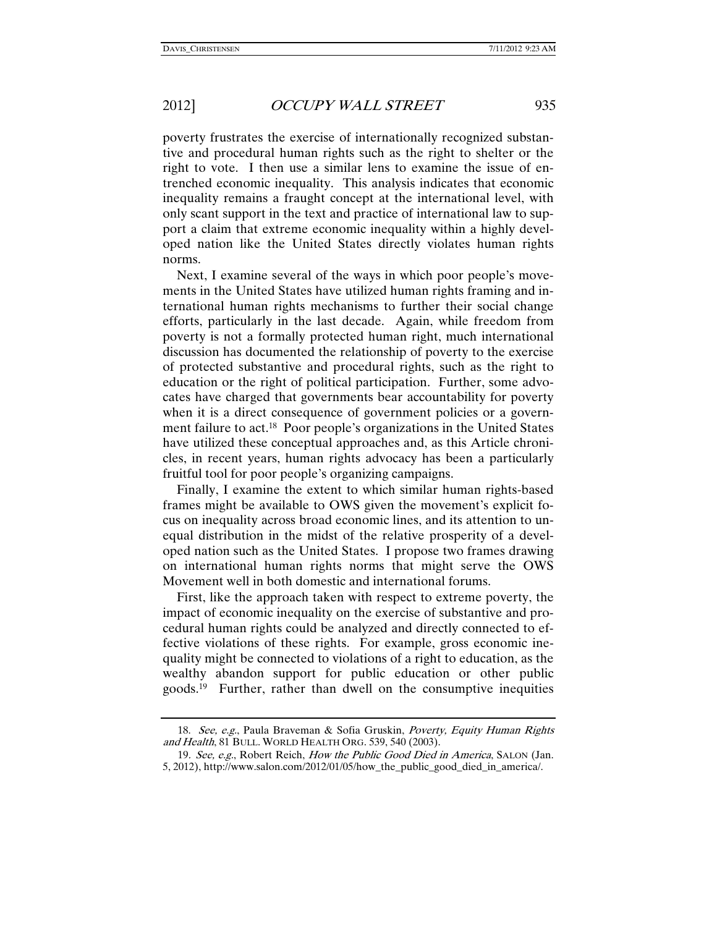poverty frustrates the exercise of internationally recognized substantive and procedural human rights such as the right to shelter or the right to vote. I then use a similar lens to examine the issue of entrenched economic inequality. This analysis indicates that economic inequality remains a fraught concept at the international level, with only scant support in the text and practice of international law to support a claim that extreme economic inequality within a highly developed nation like the United States directly violates human rights norms.

Next, I examine several of the ways in which poor people's movements in the United States have utilized human rights framing and international human rights mechanisms to further their social change efforts, particularly in the last decade. Again, while freedom from poverty is not a formally protected human right, much international discussion has documented the relationship of poverty to the exercise of protected substantive and procedural rights, such as the right to education or the right of political participation. Further, some advocates have charged that governments bear accountability for poverty when it is a direct consequence of government policies or a government failure to act.18 Poor people's organizations in the United States have utilized these conceptual approaches and, as this Article chronicles, in recent years, human rights advocacy has been a particularly fruitful tool for poor people's organizing campaigns.

Finally, I examine the extent to which similar human rights-based frames might be available to OWS given the movement's explicit focus on inequality across broad economic lines, and its attention to unequal distribution in the midst of the relative prosperity of a developed nation such as the United States. I propose two frames drawing on international human rights norms that might serve the OWS Movement well in both domestic and international forums.

First, like the approach taken with respect to extreme poverty, the impact of economic inequality on the exercise of substantive and procedural human rights could be analyzed and directly connected to effective violations of these rights. For example, gross economic inequality might be connected to violations of a right to education, as the wealthy abandon support for public education or other public goods.19 Further, rather than dwell on the consumptive inequities

 <sup>18.</sup> See, e.g., Paula Braveman & Sofia Gruskin, Poverty, Equity Human Rights and Health, 81 BULL. WORLD HEALTH ORG. 539, 540 (2003).

<sup>19.</sup> See, e.g., Robert Reich, How the Public Good Died in America, SALON (Jan. 5, 2012), http://www.salon.com/2012/01/05/how\_the\_public\_good\_died\_in\_america/.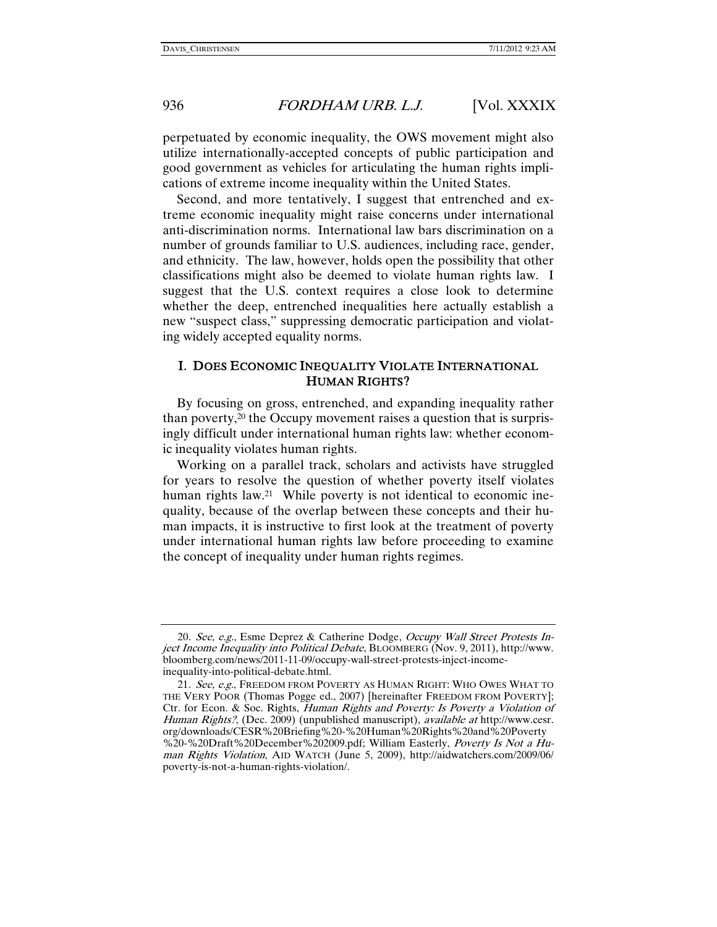perpetuated by economic inequality, the OWS movement might also utilize internationally-accepted concepts of public participation and good government as vehicles for articulating the human rights implications of extreme income inequality within the United States.

Second, and more tentatively, I suggest that entrenched and extreme economic inequality might raise concerns under international anti-discrimination norms. International law bars discrimination on a number of grounds familiar to U.S. audiences, including race, gender, and ethnicity. The law, however, holds open the possibility that other classifications might also be deemed to violate human rights law. I suggest that the U.S. context requires a close look to determine whether the deep, entrenched inequalities here actually establish a new "suspect class," suppressing democratic participation and violating widely accepted equality norms.

### I. DOES ECONOMIC INEQUALITY VIOLATE INTERNATIONAL HUMAN RIGHTS?

By focusing on gross, entrenched, and expanding inequality rather than poverty,20 the Occupy movement raises a question that is surprisingly difficult under international human rights law: whether economic inequality violates human rights.

Working on a parallel track, scholars and activists have struggled for years to resolve the question of whether poverty itself violates human rights law.<sup>21</sup> While poverty is not identical to economic inequality, because of the overlap between these concepts and their human impacts, it is instructive to first look at the treatment of poverty under international human rights law before proceeding to examine the concept of inequality under human rights regimes.

<sup>20.</sup> See, e.g., Esme Deprez & Catherine Dodge, Occupy Wall Street Protests Inject Income Inequality into Political Debate, BLOOMBERG (Nov. 9, 2011), http://www. bloomberg.com/news/2011-11-09/occupy-wall-street-protests-inject-incomeinequality-into-political-debate.html.

<sup>21.</sup> See, e.g., FREEDOM FROM POVERTY AS HUMAN RIGHT: WHO OWES WHAT TO THE VERY POOR (Thomas Pogge ed., 2007) [hereinafter FREEDOM FROM POVERTY]; Ctr. for Econ. & Soc. Rights, Human Rights and Poverty: Is Poverty a Violation of Human Rights?, (Dec. 2009) (unpublished manuscript), available at http://www.cesr. org/downloads/CESR%20Briefing%20-%20Human%20Rights%20and%20Poverty %20-%20Draft%20December%202009.pdf; William Easterly, Poverty Is Not a Human Rights Violation, AID WATCH (June 5, 2009), http://aidwatchers.com/2009/06/ poverty-is-not-a-human-rights-violation/.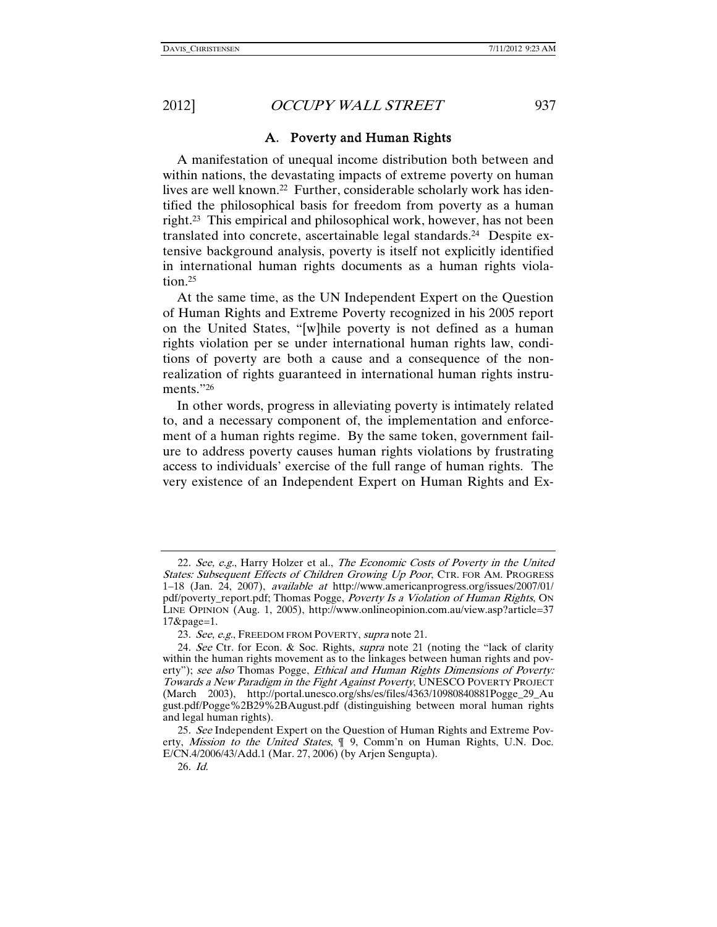### A. Poverty and Human Rights

A manifestation of unequal income distribution both between and within nations, the devastating impacts of extreme poverty on human lives are well known.<sup>22</sup> Further, considerable scholarly work has identified the philosophical basis for freedom from poverty as a human right.23 This empirical and philosophical work, however, has not been translated into concrete, ascertainable legal standards.24 Despite extensive background analysis, poverty is itself not explicitly identified in international human rights documents as a human rights violation.25

At the same time, as the UN Independent Expert on the Question of Human Rights and Extreme Poverty recognized in his 2005 report on the United States, "[w]hile poverty is not defined as a human rights violation per se under international human rights law, conditions of poverty are both a cause and a consequence of the nonrealization of rights guaranteed in international human rights instruments."26

In other words, progress in alleviating poverty is intimately related to, and a necessary component of, the implementation and enforcement of a human rights regime. By the same token, government failure to address poverty causes human rights violations by frustrating access to individuals' exercise of the full range of human rights. The very existence of an Independent Expert on Human Rights and Ex-

<sup>22</sup>. See, e.g., Harry Holzer et al., The Economic Costs of Poverty in the United States: Subsequent Effects of Children Growing Up Poor, CTR. FOR AM. PROGRESS 1–18 (Jan. 24, 2007), available at http://www.americanprogress.org/issues/2007/01/ pdf/poverty\_report.pdf; Thomas Pogge, Poverty Is a Violation of Human Rights, ON LINE OPINION (Aug. 1, 2005), http://www.onlineopinion.com.au/view.asp?article=37 17&page=1.

<sup>23.</sup> See, e.g., FREEDOM FROM POVERTY, supra note 21.

<sup>24</sup>. See Ctr. for Econ. & Soc. Rights, supra note 21 (noting the "lack of clarity within the human rights movement as to the linkages between human rights and poverty"); see also Thomas Pogge, Ethical and Human Rights Dimensions of Poverty: Towards a New Paradigm in the Fight Against Poverty, UNESCO POVERTY PROJECT (March 2003), http://portal.unesco.org/shs/es/files/4363/10980840881Pogge\_29\_Au gust.pdf/Pogge%2B29%2BAugust.pdf (distinguishing between moral human rights and legal human rights).

<sup>25</sup>. See Independent Expert on the Question of Human Rights and Extreme Poverty, Mission to the United States,  $\P$  9, Comm'n on Human Rights, U.N. Doc. E/CN.4/2006/43/Add.1 (Mar. 27, 2006) (by Arjen Sengupta).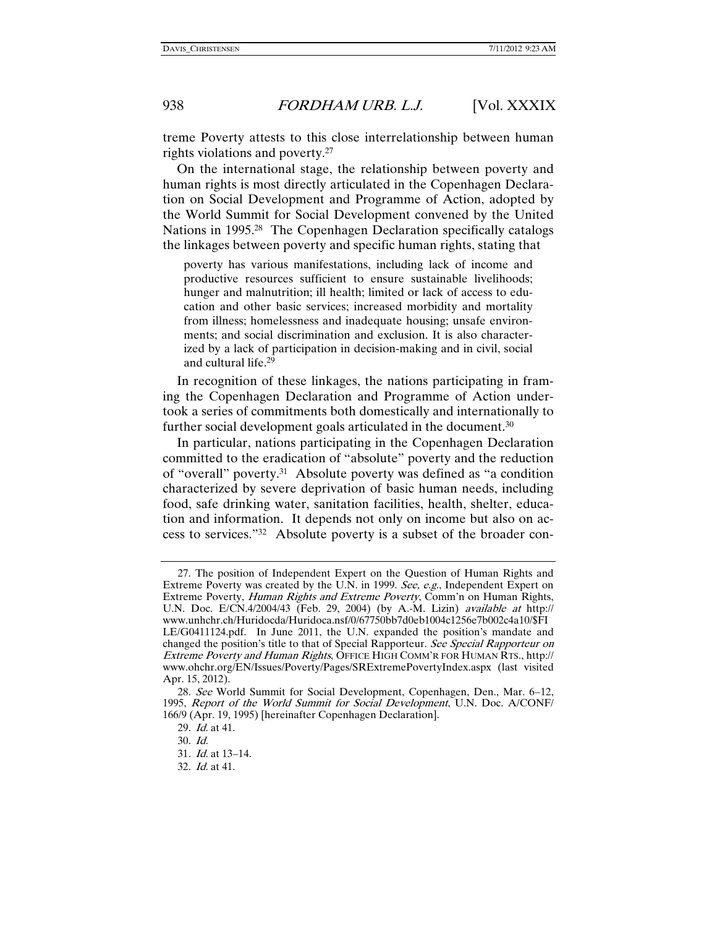treme Poverty attests to this close interrelationship between human rights violations and poverty.27

On the international stage, the relationship between poverty and human rights is most directly articulated in the Copenhagen Declaration on Social Development and Programme of Action, adopted by the World Summit for Social Development convened by the United Nations in 1995.<sup>28</sup> The Copenhagen Declaration specifically catalogs the linkages between poverty and specific human rights, stating that

poverty has various manifestations, including lack of income and productive resources sufficient to ensure sustainable livelihoods; hunger and malnutrition; ill health; limited or lack of access to education and other basic services; increased morbidity and mortality from illness; homelessness and inadequate housing; unsafe environments; and social discrimination and exclusion. It is also characterized by a lack of participation in decision-making and in civil, social and cultural life.29

In recognition of these linkages, the nations participating in framing the Copenhagen Declaration and Programme of Action undertook a series of commitments both domestically and internationally to further social development goals articulated in the document.<sup>30</sup>

In particular, nations participating in the Copenhagen Declaration committed to the eradication of "absolute" poverty and the reduction of "overall" poverty.31 Absolute poverty was defined as "a condition characterized by severe deprivation of basic human needs, including food, safe drinking water, sanitation facilities, health, shelter, education and information. It depends not only on income but also on access to services."32 Absolute poverty is a subset of the broader con-

 <sup>27.</sup> The position of Independent Expert on the Question of Human Rights and Extreme Poverty was created by the U.N. in 1999. See, e.g., Independent Expert on Extreme Poverty, Human Rights and Extreme Poverty, Comm'n on Human Rights, U.N. Doc. E/CN.4/2004/43 (Feb. 29, 2004) (by A.-M. Lizin) available at http:// www.unhchr.ch/Huridocda/Huridoca.nsf/0/67750bb7d0eb1004c1256e7b002c4a10/\$FI LE/G0411124.pdf. In June 2011, the U.N. expanded the position's mandate and changed the position's title to that of Special Rapporteur. See Special Rapporteur on Extreme Poverty and Human Rights, OFFICE HIGH COMM'R FOR HUMAN RTS., http:// www.ohchr.org/EN/Issues/Poverty/Pages/SRExtremePovertyIndex.aspx (last visited Apr. 15, 2012).

<sup>28</sup>. See World Summit for Social Development, Copenhagen, Den., Mar. 6–12, 1995, Report of the World Summit for Social Development, U.N. Doc. A/CONF/ 166/9 (Apr. 19, 1995) [hereinafter Copenhagen Declaration].

<sup>29</sup>. Id. at 41.

<sup>30</sup>. Id.

<sup>31</sup>. Id. at 13–14.

<sup>32</sup>. Id. at 41.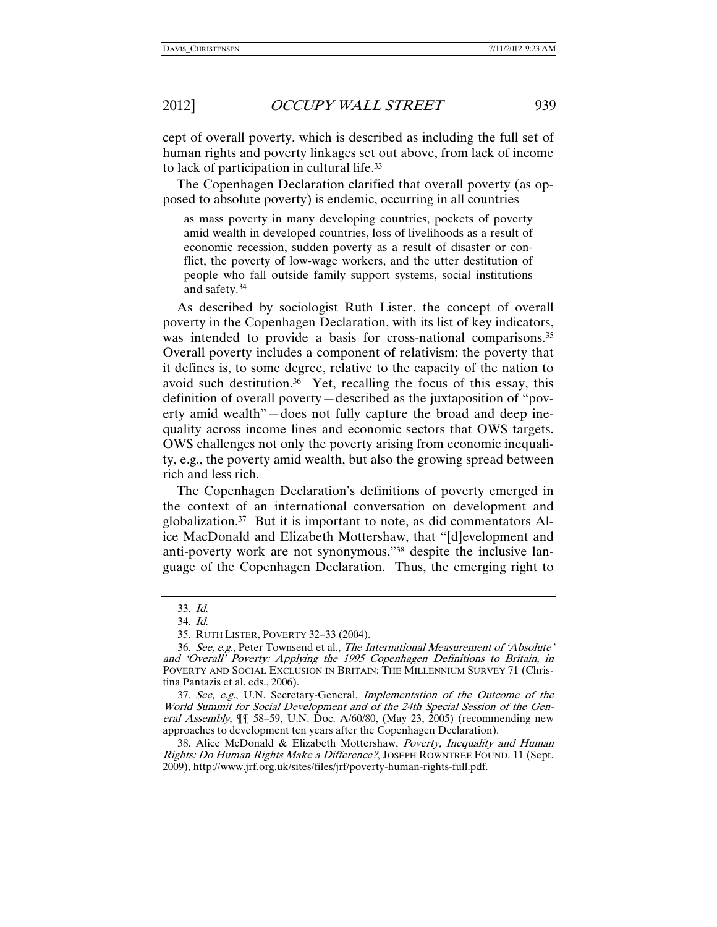cept of overall poverty, which is described as including the full set of human rights and poverty linkages set out above, from lack of income to lack of participation in cultural life.33

The Copenhagen Declaration clarified that overall poverty (as opposed to absolute poverty) is endemic, occurring in all countries

as mass poverty in many developing countries, pockets of poverty amid wealth in developed countries, loss of livelihoods as a result of economic recession, sudden poverty as a result of disaster or conflict, the poverty of low-wage workers, and the utter destitution of people who fall outside family support systems, social institutions and safety.34

As described by sociologist Ruth Lister, the concept of overall poverty in the Copenhagen Declaration, with its list of key indicators, was intended to provide a basis for cross-national comparisons.<sup>35</sup> Overall poverty includes a component of relativism; the poverty that it defines is, to some degree, relative to the capacity of the nation to avoid such destitution.<sup>36</sup> Yet, recalling the focus of this essay, this definition of overall poverty—described as the juxtaposition of "poverty amid wealth"—does not fully capture the broad and deep inequality across income lines and economic sectors that OWS targets. OWS challenges not only the poverty arising from economic inequality, e.g., the poverty amid wealth, but also the growing spread between rich and less rich.

The Copenhagen Declaration's definitions of poverty emerged in the context of an international conversation on development and globalization.37 But it is important to note, as did commentators Alice MacDonald and Elizabeth Mottershaw, that "[d]evelopment and anti-poverty work are not synonymous,"38 despite the inclusive language of the Copenhagen Declaration. Thus, the emerging right to

<sup>33</sup>. Id.

<sup>34</sup>. Id.

 <sup>35.</sup> RUTH LISTER, POVERTY 32–33 (2004).

<sup>36</sup>. See, e.g., Peter Townsend et al., The International Measurement of 'Absolute' and 'Overall' Poverty: Applying the 1995 Copenhagen Definitions to Britain, in POVERTY AND SOCIAL EXCLUSION IN BRITAIN: THE MILLENNIUM SURVEY 71 (Christina Pantazis et al. eds., 2006).

<sup>37</sup>. See, e.g., U.N. Secretary-General, Implementation of the Outcome of the World Summit for Social Development and of the 24th Special Session of the General Assembly, ¶¶ 58–59, U.N. Doc. A/60/80, (May 23, 2005) (recommending new approaches to development ten years after the Copenhagen Declaration).

 <sup>38.</sup> Alice McDonald & Elizabeth Mottershaw, Poverty, Inequality and Human Rights: Do Human Rights Make a Difference?, JOSEPH ROWNTREE FOUND. 11 (Sept. 2009), http://www.jrf.org.uk/sites/files/jrf/poverty-human-rights-full.pdf.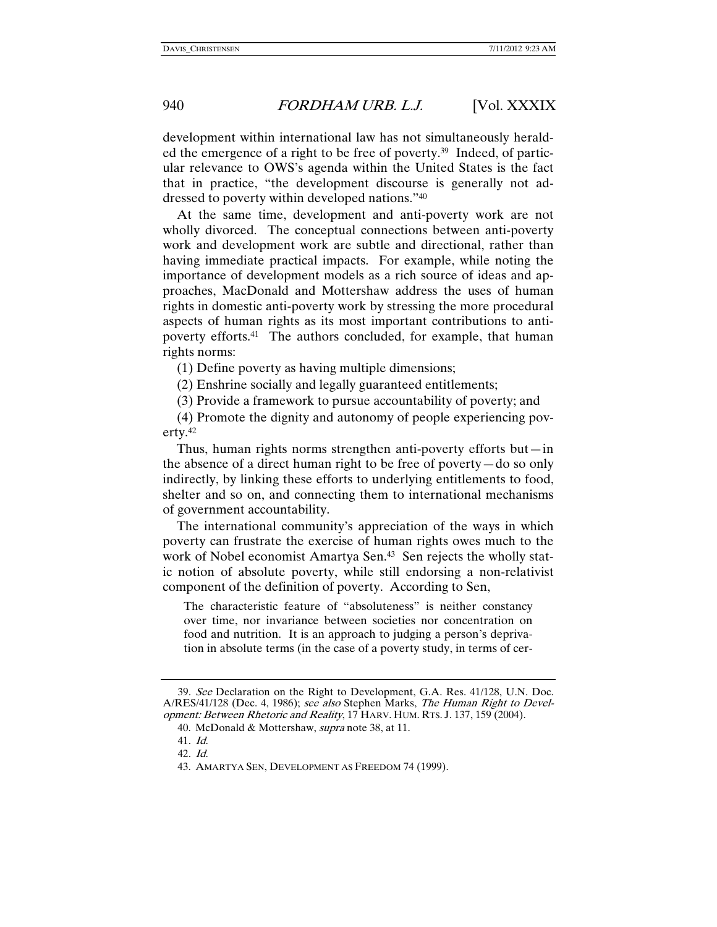development within international law has not simultaneously heralded the emergence of a right to be free of poverty.39 Indeed, of particular relevance to OWS's agenda within the United States is the fact that in practice, "the development discourse is generally not addressed to poverty within developed nations."40

At the same time, development and anti-poverty work are not wholly divorced. The conceptual connections between anti-poverty work and development work are subtle and directional, rather than having immediate practical impacts. For example, while noting the importance of development models as a rich source of ideas and approaches, MacDonald and Mottershaw address the uses of human rights in domestic anti-poverty work by stressing the more procedural aspects of human rights as its most important contributions to antipoverty efforts.41 The authors concluded, for example, that human rights norms:

(1) Define poverty as having multiple dimensions;

(2) Enshrine socially and legally guaranteed entitlements;

(3) Provide a framework to pursue accountability of poverty; and

(4) Promote the dignity and autonomy of people experiencing poverty.42

Thus, human rights norms strengthen anti-poverty efforts but—in the absence of a direct human right to be free of poverty—do so only indirectly, by linking these efforts to underlying entitlements to food, shelter and so on, and connecting them to international mechanisms of government accountability.

The international community's appreciation of the ways in which poverty can frustrate the exercise of human rights owes much to the work of Nobel economist Amartya Sen.<sup>43</sup> Sen rejects the wholly static notion of absolute poverty, while still endorsing a non-relativist component of the definition of poverty. According to Sen,

The characteristic feature of "absoluteness" is neither constancy over time, nor invariance between societies nor concentration on food and nutrition. It is an approach to judging a person's deprivation in absolute terms (in the case of a poverty study, in terms of cer-

<sup>39</sup>. See Declaration on the Right to Development, G.A. Res. 41/128, U.N. Doc. A/RES/41/128 (Dec. 4, 1986); see also Stephen Marks, The Human Right to Development: Between Rhetoric and Reality, 17 HARV. HUM. RTS. J. 137, 159 (2004).

 <sup>40.</sup> McDonald & Mottershaw, supra note 38, at 11.

<sup>41</sup>. Id.

<sup>42</sup>. Id.

 <sup>43.</sup> AMARTYA SEN, DEVELOPMENT AS FREEDOM 74 (1999).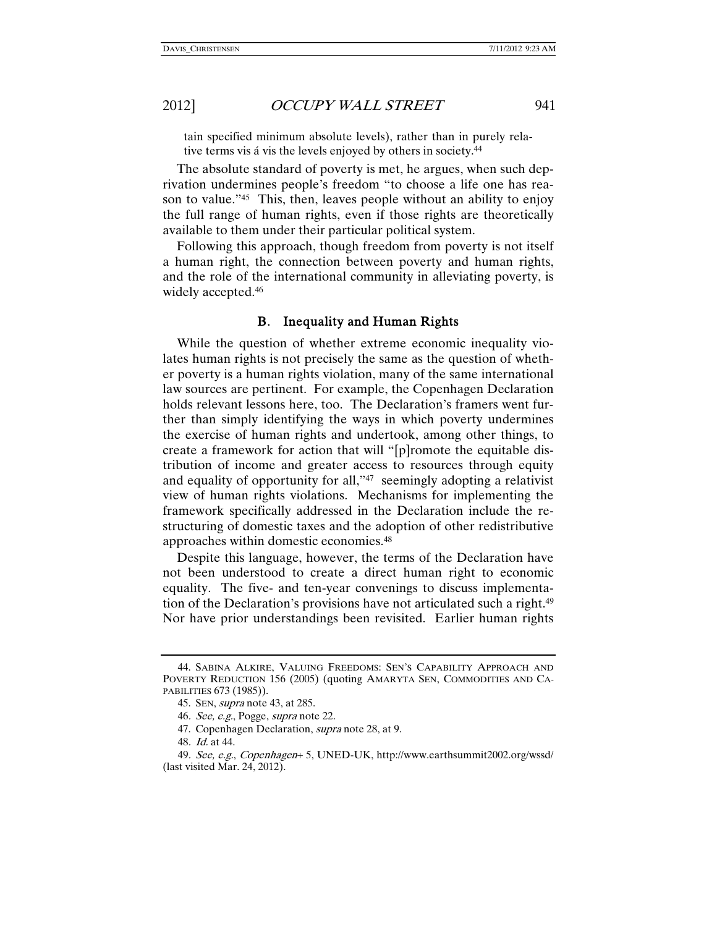tain specified minimum absolute levels), rather than in purely relative terms vis á vis the levels enjoyed by others in society.44

The absolute standard of poverty is met, he argues, when such deprivation undermines people's freedom "to choose a life one has reason to value."45 This, then, leaves people without an ability to enjoy the full range of human rights, even if those rights are theoretically available to them under their particular political system.

Following this approach, though freedom from poverty is not itself a human right, the connection between poverty and human rights, and the role of the international community in alleviating poverty, is widely accepted.<sup>46</sup>

#### B. Inequality and Human Rights

While the question of whether extreme economic inequality violates human rights is not precisely the same as the question of whether poverty is a human rights violation, many of the same international law sources are pertinent. For example, the Copenhagen Declaration holds relevant lessons here, too. The Declaration's framers went further than simply identifying the ways in which poverty undermines the exercise of human rights and undertook, among other things, to create a framework for action that will "[p]romote the equitable distribution of income and greater access to resources through equity and equality of opportunity for all,"47 seemingly adopting a relativist view of human rights violations. Mechanisms for implementing the framework specifically addressed in the Declaration include the restructuring of domestic taxes and the adoption of other redistributive approaches within domestic economies.48

Despite this language, however, the terms of the Declaration have not been understood to create a direct human right to economic equality. The five- and ten-year convenings to discuss implementation of the Declaration's provisions have not articulated such a right.49 Nor have prior understandings been revisited. Earlier human rights

 <sup>44.</sup> SABINA ALKIRE, VALUING FREEDOMS: SEN'S CAPABILITY APPROACH AND POVERTY REDUCTION 156 (2005) (quoting AMARYTA SEN, COMMODITIES AND CA-PABILITIES 673 (1985)).

 <sup>45.</sup> SEN, supra note 43, at 285.

<sup>46</sup>. See, e.g., Pogge, supra note 22.

 <sup>47.</sup> Copenhagen Declaration, supra note 28, at 9.

<sup>48</sup>. Id. at 44.

<sup>49</sup>. See, e.g., Copenhagen+ 5, UNED-UK, http://www.earthsummit2002.org/wssd/ (last visited Mar. 24, 2012).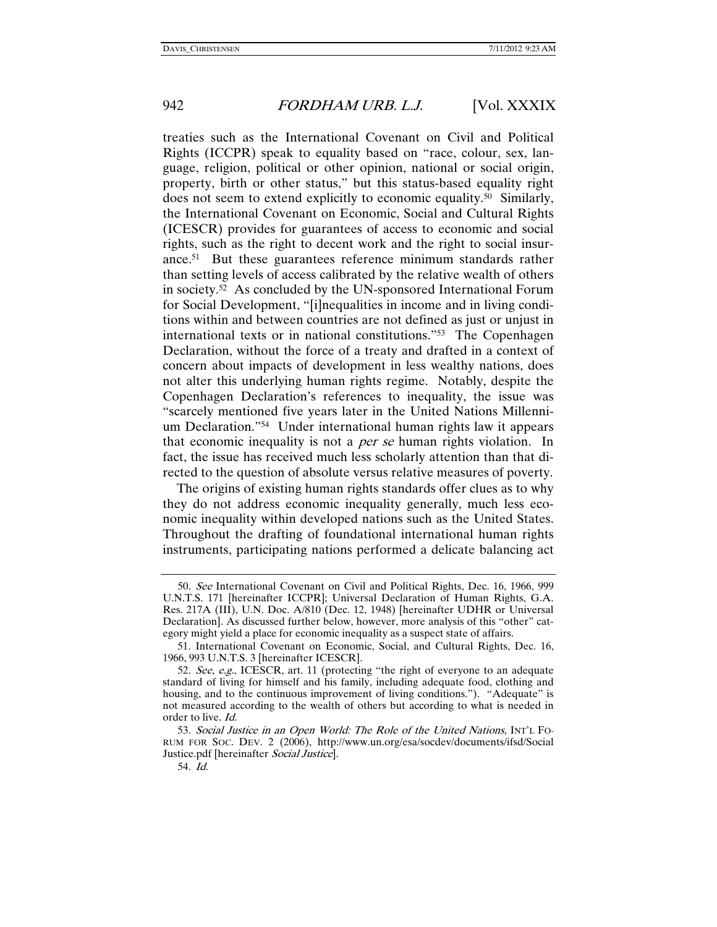treaties such as the International Covenant on Civil and Political Rights (ICCPR) speak to equality based on "race, colour, sex, language, religion, political or other opinion, national or social origin, property, birth or other status," but this status-based equality right does not seem to extend explicitly to economic equality.50 Similarly, the International Covenant on Economic, Social and Cultural Rights (ICESCR) provides for guarantees of access to economic and social rights, such as the right to decent work and the right to social insurance.51 But these guarantees reference minimum standards rather than setting levels of access calibrated by the relative wealth of others in society.52 As concluded by the UN-sponsored International Forum for Social Development, "[i]nequalities in income and in living conditions within and between countries are not defined as just or unjust in international texts or in national constitutions."53 The Copenhagen Declaration, without the force of a treaty and drafted in a context of concern about impacts of development in less wealthy nations, does not alter this underlying human rights regime. Notably, despite the Copenhagen Declaration's references to inequality, the issue was "scarcely mentioned five years later in the United Nations Millennium Declaration."54 Under international human rights law it appears that economic inequality is not a *per se* human rights violation. In fact, the issue has received much less scholarly attention than that directed to the question of absolute versus relative measures of poverty.

The origins of existing human rights standards offer clues as to why they do not address economic inequality generally, much less economic inequality within developed nations such as the United States. Throughout the drafting of foundational international human rights instruments, participating nations performed a delicate balancing act

<sup>50</sup>. See International Covenant on Civil and Political Rights, Dec. 16, 1966, 999 U.N.T.S. 171 [hereinafter ICCPR]; Universal Declaration of Human Rights, G.A. Res. 217A (III), U.N. Doc. A/810 (Dec. 12, 1948) [hereinafter UDHR or Universal Declaration]. As discussed further below, however, more analysis of this "other" category might yield a place for economic inequality as a suspect state of affairs.

 <sup>51.</sup> International Covenant on Economic, Social, and Cultural Rights, Dec. 16, 1966, 993 U.N.T.S. 3 [hereinafter ICESCR].

<sup>52.</sup> See, e.g., ICESCR, art. 11 (protecting "the right of everyone to an adequate standard of living for himself and his family, including adequate food, clothing and housing, and to the continuous improvement of living conditions."). "Adequate" is not measured according to the wealth of others but according to what is needed in order to live. Id.

 <sup>53.</sup> Social Justice in an Open World: The Role of the United Nations, INT'L FO-RUM FOR SOC. DEV. 2 (2006), http://www.un.org/esa/socdev/documents/ifsd/Social Justice.pdf [hereinafter Social Justice].

<sup>54</sup>. Id.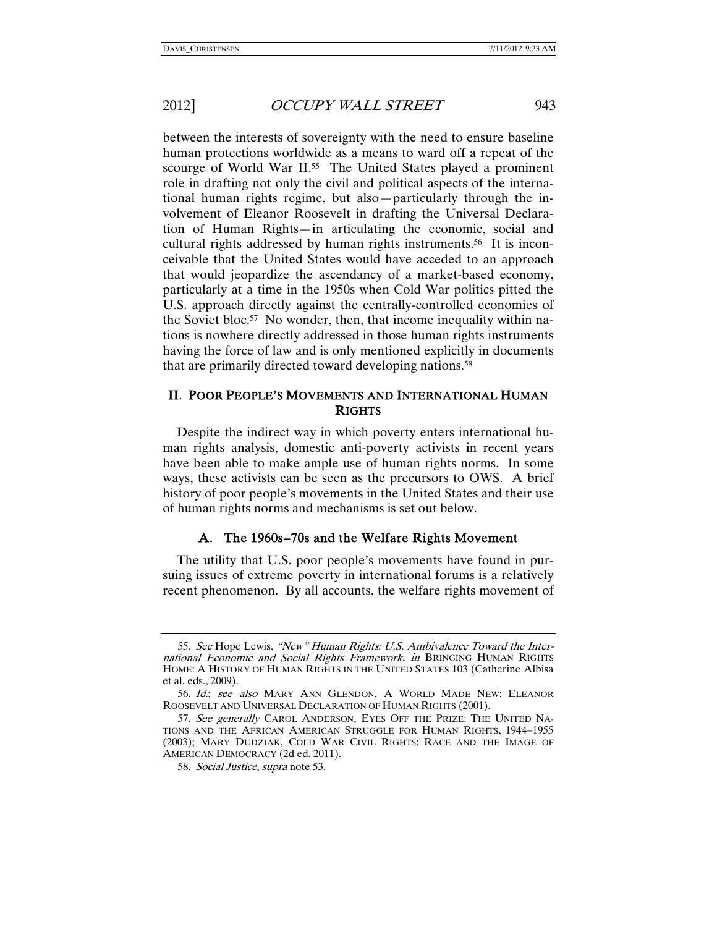between the interests of sovereignty with the need to ensure baseline human protections worldwide as a means to ward off a repeat of the scourge of World War II.<sup>55</sup> The United States played a prominent role in drafting not only the civil and political aspects of the international human rights regime, but also—particularly through the involvement of Eleanor Roosevelt in drafting the Universal Declaration of Human Rights—in articulating the economic, social and cultural rights addressed by human rights instruments.<sup>56</sup> It is inconceivable that the United States would have acceded to an approach that would jeopardize the ascendancy of a market-based economy, particularly at a time in the 1950s when Cold War politics pitted the U.S. approach directly against the centrally-controlled economies of the Soviet bloc.<sup>57</sup> No wonder, then, that income inequality within nations is nowhere directly addressed in those human rights instruments having the force of law and is only mentioned explicitly in documents that are primarily directed toward developing nations.<sup>58</sup>

### II. POOR PEOPLE'S MOVEMENTS AND INTERNATIONAL HUMAN **RIGHTS**

Despite the indirect way in which poverty enters international human rights analysis, domestic anti-poverty activists in recent years have been able to make ample use of human rights norms. In some ways, these activists can be seen as the precursors to OWS. A brief history of poor people's movements in the United States and their use of human rights norms and mechanisms is set out below.

#### A. The 1960s–70s and the Welfare Rights Movement

The utility that U.S. poor people's movements have found in pursuing issues of extreme poverty in international forums is a relatively recent phenomenon. By all accounts, the welfare rights movement of

<sup>55</sup>. See Hope Lewis, "New" Human Rights: U.S. Ambivalence Toward the International Economic and Social Rights Framework, in BRINGING HUMAN RIGHTS HOME: A HISTORY OF HUMAN RIGHTS IN THE UNITED STATES 103 (Catherine Albisa et al. eds., 2009).

<sup>56</sup>. Id.; see also MARY ANN GLENDON, A WORLD MADE NEW: ELEANOR ROOSEVELT AND UNIVERSAL DECLARATION OF HUMAN RIGHTS (2001).

<sup>57.</sup> See generally CAROL ANDERSON, EYES OFF THE PRIZE: THE UNITED NA-TIONS AND THE AFRICAN AMERICAN STRUGGLE FOR HUMAN RIGHTS, 1944–1955 (2003); MARY DUDZIAK, COLD WAR CIVIL RIGHTS: RACE AND THE IMAGE OF AMERICAN DEMOCRACY (2d ed. 2011).

 <sup>58.</sup> Social Justice, supra note 53.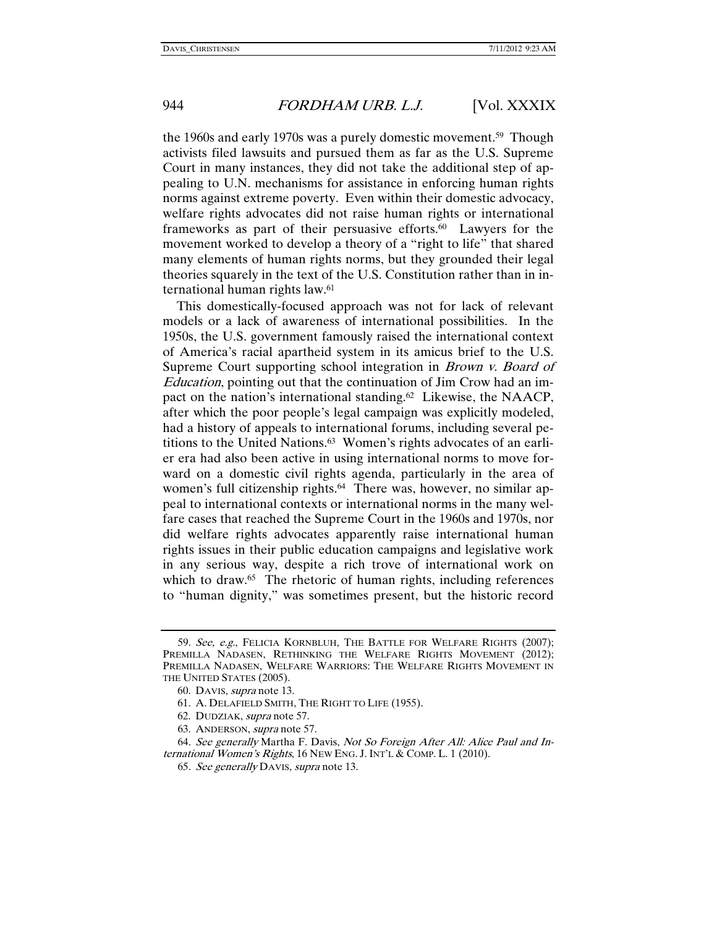the 1960s and early 1970s was a purely domestic movement.59 Though activists filed lawsuits and pursued them as far as the U.S. Supreme Court in many instances, they did not take the additional step of appealing to U.N. mechanisms for assistance in enforcing human rights norms against extreme poverty. Even within their domestic advocacy, welfare rights advocates did not raise human rights or international frameworks as part of their persuasive efforts.60 Lawyers for the movement worked to develop a theory of a "right to life" that shared many elements of human rights norms, but they grounded their legal theories squarely in the text of the U.S. Constitution rather than in international human rights law.61

This domestically-focused approach was not for lack of relevant models or a lack of awareness of international possibilities. In the 1950s, the U.S. government famously raised the international context of America's racial apartheid system in its amicus brief to the U.S. Supreme Court supporting school integration in *Brown v. Board of* Education, pointing out that the continuation of Jim Crow had an impact on the nation's international standing.62 Likewise, the NAACP, after which the poor people's legal campaign was explicitly modeled, had a history of appeals to international forums, including several petitions to the United Nations.63 Women's rights advocates of an earlier era had also been active in using international norms to move forward on a domestic civil rights agenda, particularly in the area of women's full citizenship rights.<sup>64</sup> There was, however, no similar appeal to international contexts or international norms in the many welfare cases that reached the Supreme Court in the 1960s and 1970s, nor did welfare rights advocates apparently raise international human rights issues in their public education campaigns and legislative work in any serious way, despite a rich trove of international work on which to draw.<sup>65</sup> The rhetoric of human rights, including references to "human dignity," was sometimes present, but the historic record

<sup>59.</sup> See, e.g., FELICIA KORNBLUH, THE BATTLE FOR WELFARE RIGHTS (2007); PREMILLA NADASEN, RETHINKING THE WELFARE RIGHTS MOVEMENT (2012); PREMILLA NADASEN, WELFARE WARRIORS: THE WELFARE RIGHTS MOVEMENT IN THE UNITED STATES (2005).

 <sup>60.</sup> DAVIS, supra note 13.

 <sup>61.</sup> A. DELAFIELD SMITH, THE RIGHT TO LIFE (1955).

 <sup>62.</sup> DUDZIAK, supra note 57.

 <sup>63.</sup> ANDERSON, supra note 57.

<sup>64</sup>. See generally Martha F. Davis, Not So Foreign After All: Alice Paul and International Women's Rights, 16 NEW ENG. J. INT'L & COMP. L. 1 (2010).

<sup>65</sup>. See generally DAVIS, supra note 13.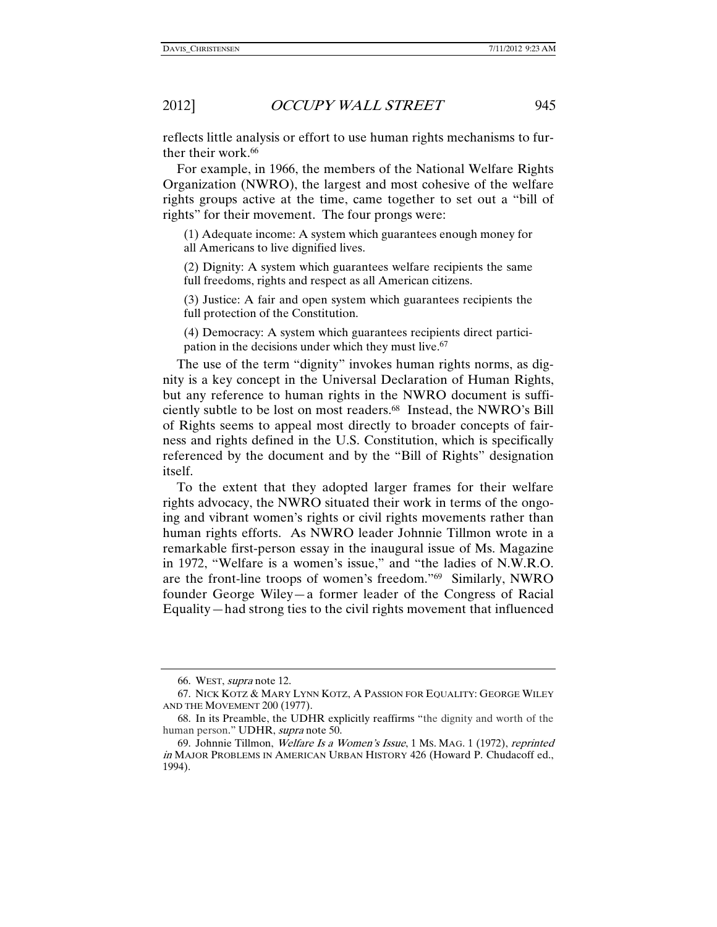reflects little analysis or effort to use human rights mechanisms to further their work.<sup>66</sup>

For example, in 1966, the members of the National Welfare Rights Organization (NWRO), the largest and most cohesive of the welfare rights groups active at the time, came together to set out a "bill of rights" for their movement. The four prongs were:

(1) Adequate income: A system which guarantees enough money for all Americans to live dignified lives.

(2) Dignity: A system which guarantees welfare recipients the same full freedoms, rights and respect as all American citizens.

(3) Justice: A fair and open system which guarantees recipients the full protection of the Constitution.

(4) Democracy: A system which guarantees recipients direct participation in the decisions under which they must live.<sup>67</sup>

The use of the term "dignity" invokes human rights norms, as dignity is a key concept in the Universal Declaration of Human Rights, but any reference to human rights in the NWRO document is sufficiently subtle to be lost on most readers.68 Instead, the NWRO's Bill of Rights seems to appeal most directly to broader concepts of fairness and rights defined in the U.S. Constitution, which is specifically referenced by the document and by the "Bill of Rights" designation itself.

To the extent that they adopted larger frames for their welfare rights advocacy, the NWRO situated their work in terms of the ongoing and vibrant women's rights or civil rights movements rather than human rights efforts. As NWRO leader Johnnie Tillmon wrote in a remarkable first-person essay in the inaugural issue of Ms. Magazine in 1972, "Welfare is a women's issue," and "the ladies of N.W.R.O. are the front-line troops of women's freedom."69 Similarly, NWRO founder George Wiley—a former leader of the Congress of Racial Equality—had strong ties to the civil rights movement that influenced

 <sup>66.</sup> WEST, supra note 12.

 <sup>67.</sup> NICK KOTZ & MARY LYNN KOTZ, A PASSION FOR EQUALITY: GEORGE WILEY AND THE MOVEMENT 200 (1977).

 <sup>68.</sup> In its Preamble, the UDHR explicitly reaffirms "the dignity and worth of the human person." UDHR, supra note 50.

 <sup>69.</sup> Johnnie Tillmon, Welfare Is a Women's Issue, 1 MS. MAG. 1 (1972), reprinted in MAJOR PROBLEMS IN AMERICAN URBAN HISTORY 426 (Howard P. Chudacoff ed., 1994).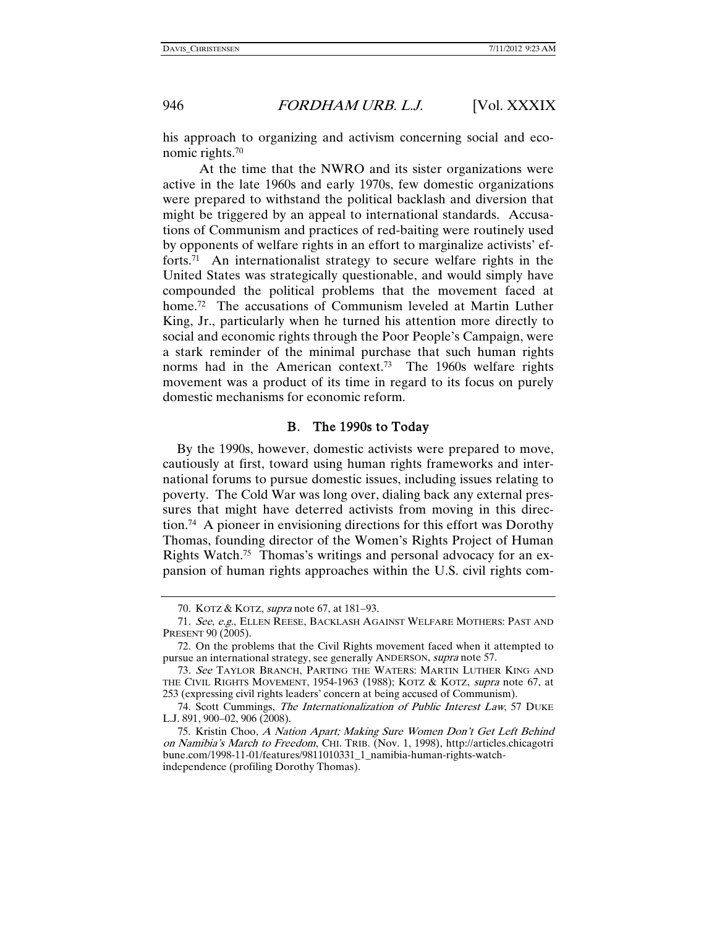his approach to organizing and activism concerning social and economic rights.70

 At the time that the NWRO and its sister organizations were active in the late 1960s and early 1970s, few domestic organizations were prepared to withstand the political backlash and diversion that might be triggered by an appeal to international standards. Accusations of Communism and practices of red-baiting were routinely used by opponents of welfare rights in an effort to marginalize activists' efforts.<sup>71</sup> An internationalist strategy to secure welfare rights in the United States was strategically questionable, and would simply have compounded the political problems that the movement faced at home.<sup>72</sup> The accusations of Communism leveled at Martin Luther King, Jr., particularly when he turned his attention more directly to social and economic rights through the Poor People's Campaign, were a stark reminder of the minimal purchase that such human rights norms had in the American context.<sup>73</sup> The 1960s welfare rights movement was a product of its time in regard to its focus on purely domestic mechanisms for economic reform.

#### B. The 1990s to Today

By the 1990s, however, domestic activists were prepared to move, cautiously at first, toward using human rights frameworks and international forums to pursue domestic issues, including issues relating to poverty. The Cold War was long over, dialing back any external pressures that might have deterred activists from moving in this direction.74 A pioneer in envisioning directions for this effort was Dorothy Thomas, founding director of the Women's Rights Project of Human Rights Watch.75 Thomas's writings and personal advocacy for an expansion of human rights approaches within the U.S. civil rights com-

 <sup>70.</sup> KOTZ & KOTZ, supra note 67, at 181–93.

<sup>71</sup>. See, e.g., ELLEN REESE, BACKLASH AGAINST WELFARE MOTHERS: PAST AND PRESENT 90 (2005).

 <sup>72.</sup> On the problems that the Civil Rights movement faced when it attempted to pursue an international strategy, see generally ANDERSON, supra note 57.

<sup>73</sup>. See TAYLOR BRANCH, PARTING THE WATERS: MARTIN LUTHER KING AND THE CIVIL RIGHTS MOVEMENT, 1954-1963 (1988); KOTZ & KOTZ, supra note 67, at 253 (expressing civil rights leaders' concern at being accused of Communism).

<sup>74.</sup> Scott Cummings, The Internationalization of Public Interest Law, 57 DUKE L.J. 891, 900–02, 906 (2008).

 <sup>75.</sup> Kristin Choo, A Nation Apart; Making Sure Women Don't Get Left Behind on Namibia's March to Freedom, CHI. TRIB. (Nov. 1, 1998), http://articles.chicagotri bune.com/1998-11-01/features/9811010331\_1\_namibia-human-rights-watchindependence (profiling Dorothy Thomas).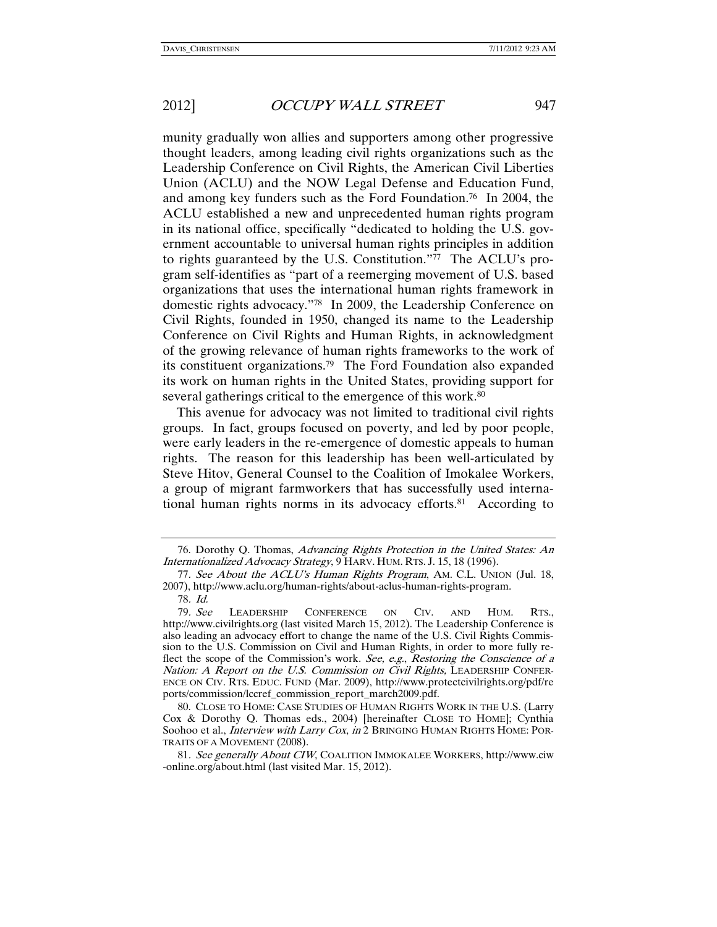munity gradually won allies and supporters among other progressive thought leaders, among leading civil rights organizations such as the Leadership Conference on Civil Rights, the American Civil Liberties Union (ACLU) and the NOW Legal Defense and Education Fund, and among key funders such as the Ford Foundation.76 In 2004, the ACLU established a new and unprecedented human rights program in its national office, specifically "dedicated to holding the U.S. government accountable to universal human rights principles in addition to rights guaranteed by the U.S. Constitution."77 The ACLU's program self-identifies as "part of a reemerging movement of U.S. based organizations that uses the international human rights framework in domestic rights advocacy."78 In 2009, the Leadership Conference on Civil Rights, founded in 1950, changed its name to the Leadership Conference on Civil Rights and Human Rights, in acknowledgment of the growing relevance of human rights frameworks to the work of its constituent organizations.79 The Ford Foundation also expanded its work on human rights in the United States, providing support for several gatherings critical to the emergence of this work.<sup>80</sup>

This avenue for advocacy was not limited to traditional civil rights groups. In fact, groups focused on poverty, and led by poor people, were early leaders in the re-emergence of domestic appeals to human rights. The reason for this leadership has been well-articulated by Steve Hitov, General Counsel to the Coalition of Imokalee Workers, a group of migrant farmworkers that has successfully used international human rights norms in its advocacy efforts.81 According to

 <sup>76.</sup> Dorothy Q. Thomas, Advancing Rights Protection in the United States: An Internationalized Advocacy Strategy, 9 HARV. HUM. RTS. J. 15, 18 (1996).

<sup>77.</sup> See About the ACLU's Human Rights Program, AM. C.L. UNION (Jul. 18, 2007), http://www.aclu.org/human-rights/about-aclus-human-rights-program. 78. Id.

<sup>79</sup>. See LEADERSHIP CONFERENCE ON CIV. AND HUM. RTS., http://www.civilrights.org (last visited March 15, 2012). The Leadership Conference is also leading an advocacy effort to change the name of the U.S. Civil Rights Commission to the U.S. Commission on Civil and Human Rights, in order to more fully reflect the scope of the Commission's work. See, e.g., Restoring the Conscience of a Nation: A Report on the U.S. Commission on Civil Rights, LEADERSHIP CONFER-ENCE ON CIV. RTS. EDUC. FUND (Mar. 2009), http://www.protectcivilrights.org/pdf/re ports/commission/lccref\_commission\_report\_march2009.pdf.

 <sup>80.</sup> CLOSE TO HOME: CASE STUDIES OF HUMAN RIGHTS WORK IN THE U.S. (Larry Cox & Dorothy Q. Thomas eds., 2004) [hereinafter CLOSE TO HOME]; Cynthia Soohoo et al., *Interview with Larry Cox, in* 2 BRINGING HUMAN RIGHTS HOME: POR-TRAITS OF A MOVEMENT (2008).

<sup>81</sup>. See generally About CIW, COALITION IMMOKALEE WORKERS, http://www.ciw -online.org/about.html (last visited Mar. 15, 2012).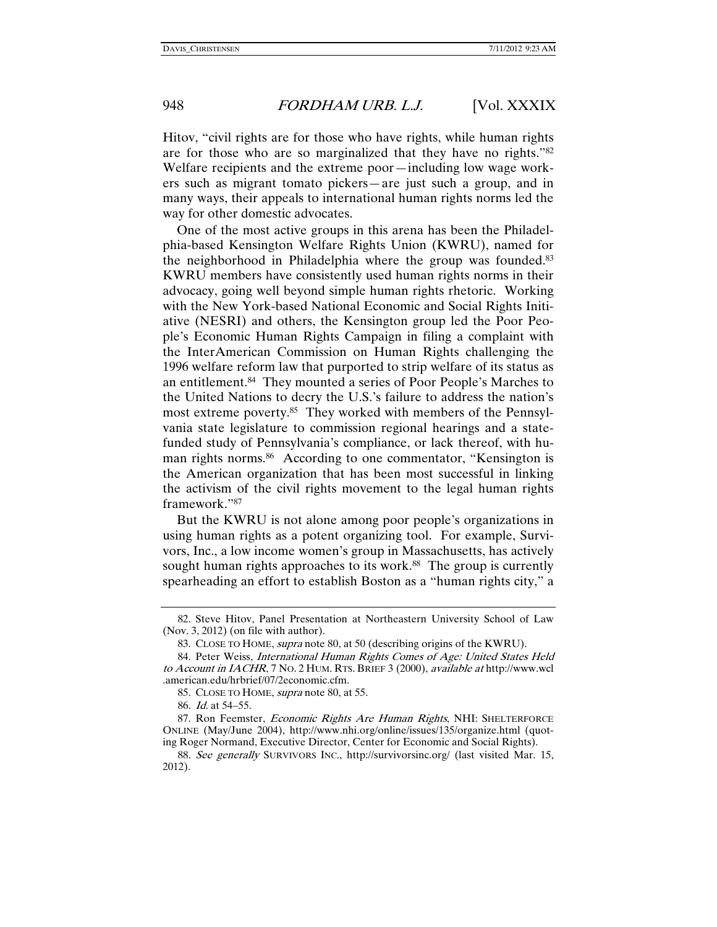Hitov, "civil rights are for those who have rights, while human rights are for those who are so marginalized that they have no rights."82 Welfare recipients and the extreme poor—including low wage workers such as migrant tomato pickers—are just such a group, and in many ways, their appeals to international human rights norms led the way for other domestic advocates.

One of the most active groups in this arena has been the Philadelphia-based Kensington Welfare Rights Union (KWRU), named for the neighborhood in Philadelphia where the group was founded.<sup>83</sup> KWRU members have consistently used human rights norms in their advocacy, going well beyond simple human rights rhetoric. Working with the New York-based National Economic and Social Rights Initiative (NESRI) and others, the Kensington group led the Poor People's Economic Human Rights Campaign in filing a complaint with the InterAmerican Commission on Human Rights challenging the 1996 welfare reform law that purported to strip welfare of its status as an entitlement.84 They mounted a series of Poor People's Marches to the United Nations to decry the U.S.'s failure to address the nation's most extreme poverty.85 They worked with members of the Pennsylvania state legislature to commission regional hearings and a statefunded study of Pennsylvania's compliance, or lack thereof, with human rights norms.86 According to one commentator, "Kensington is the American organization that has been most successful in linking the activism of the civil rights movement to the legal human rights framework."87

But the KWRU is not alone among poor people's organizations in using human rights as a potent organizing tool. For example, Survivors, Inc., a low income women's group in Massachusetts, has actively sought human rights approaches to its work.<sup>88</sup> The group is currently spearheading an effort to establish Boston as a "human rights city," a

 <sup>82.</sup> Steve Hitov, Panel Presentation at Northeastern University School of Law (Nov. 3, 2012) (on file with author).

 <sup>83.</sup> CLOSE TO HOME, supra note 80, at 50 (describing origins of the KWRU).

 <sup>84.</sup> Peter Weiss, International Human Rights Comes of Age: United States Held to Account in IACHR, 7 NO. 2 HUM. RTS. BRIEF 3 (2000), available at http://www.wcl .american.edu/hrbrief/07/2economic.cfm.

 <sup>85.</sup> CLOSE TO HOME, supra note 80, at 55.

<sup>86</sup>. Id. at 54–55.

<sup>87.</sup> Ron Feemster, Economic Rights Are Human Rights, NHI: SHELTERFORCE ONLINE (May/June 2004), http://www.nhi.org/online/issues/135/organize.html (quoting Roger Normand, Executive Director, Center for Economic and Social Rights).

<sup>88</sup>. See generally SURVIVORS INC., http://survivorsinc.org/ (last visited Mar. 15, 2012).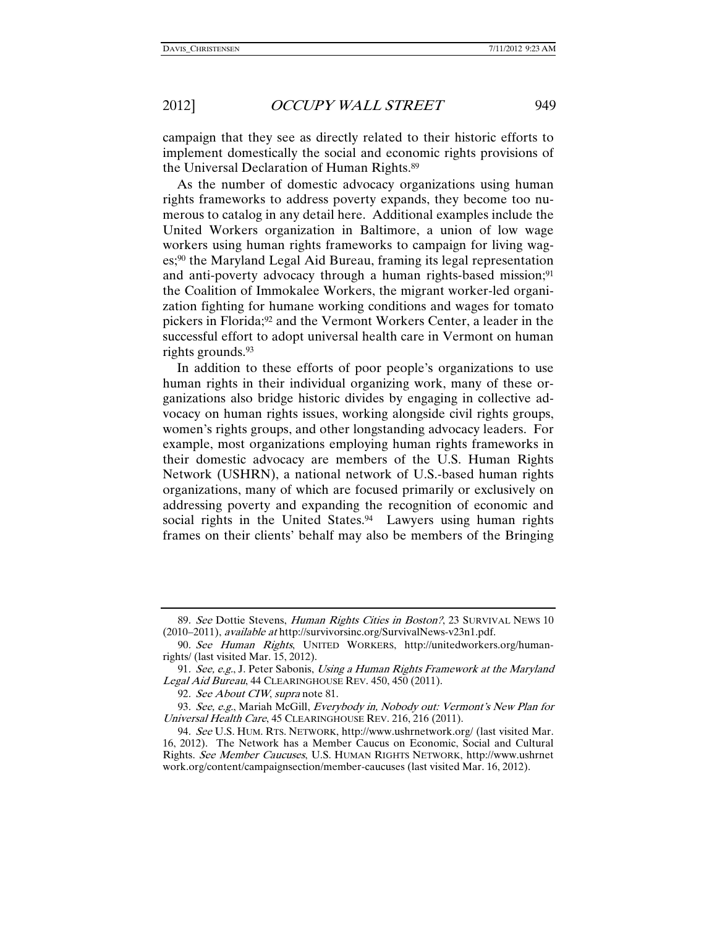campaign that they see as directly related to their historic efforts to implement domestically the social and economic rights provisions of the Universal Declaration of Human Rights.89

As the number of domestic advocacy organizations using human rights frameworks to address poverty expands, they become too numerous to catalog in any detail here. Additional examples include the United Workers organization in Baltimore, a union of low wage workers using human rights frameworks to campaign for living wages;90 the Maryland Legal Aid Bureau, framing its legal representation and anti-poverty advocacy through a human rights-based mission;<sup>91</sup> the Coalition of Immokalee Workers, the migrant worker-led organization fighting for humane working conditions and wages for tomato pickers in Florida;<sup>92</sup> and the Vermont Workers Center, a leader in the successful effort to adopt universal health care in Vermont on human rights grounds.<sup>93</sup>

In addition to these efforts of poor people's organizations to use human rights in their individual organizing work, many of these organizations also bridge historic divides by engaging in collective advocacy on human rights issues, working alongside civil rights groups, women's rights groups, and other longstanding advocacy leaders. For example, most organizations employing human rights frameworks in their domestic advocacy are members of the U.S. Human Rights Network (USHRN), a national network of U.S.-based human rights organizations, many of which are focused primarily or exclusively on addressing poverty and expanding the recognition of economic and social rights in the United States.<sup>94</sup> Lawyers using human rights frames on their clients' behalf may also be members of the Bringing

<sup>89.</sup> See Dottie Stevens, Human Rights Cities in Boston?, 23 SURVIVAL NEWS 10 (2010–2011), available at http://survivorsinc.org/SurvivalNews-v23n1.pdf.

<sup>90</sup>. See Human Rights, UNITED WORKERS, http://unitedworkers.org/humanrights/ (last visited Mar. 15, 2012).

<sup>91.</sup> See, e.g., J. Peter Sabonis, Using a Human Rights Framework at the Maryland Legal Aid Bureau, 44 CLEARINGHOUSE REV. 450, 450 (2011).

<sup>92.</sup> See About CIW, supra note 81.

<sup>93</sup>. See, e.g., Mariah McGill, Everybody in, Nobody out: Vermont's New Plan for Universal Health Care, 45 CLEARINGHOUSE REV. 216, 216 (2011).

<sup>94</sup>. See U.S. HUM. RTS. NETWORK, http://www.ushrnetwork.org/ (last visited Mar. 16, 2012). The Network has a Member Caucus on Economic, Social and Cultural Rights. See Member Caucuses, U.S. HUMAN RIGHTS NETWORK, http://www.ushrnet work.org/content/campaignsection/member-caucuses (last visited Mar. 16, 2012).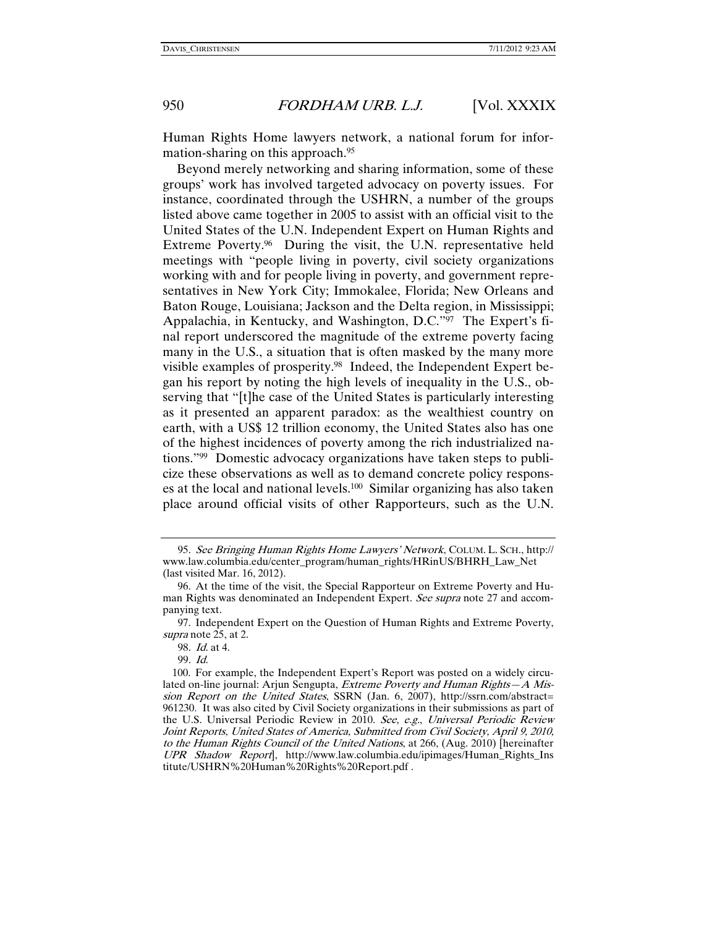Human Rights Home lawyers network, a national forum for information-sharing on this approach.95

Beyond merely networking and sharing information, some of these groups' work has involved targeted advocacy on poverty issues. For instance, coordinated through the USHRN, a number of the groups listed above came together in 2005 to assist with an official visit to the United States of the U.N. Independent Expert on Human Rights and Extreme Poverty.96 During the visit, the U.N. representative held meetings with "people living in poverty, civil society organizations working with and for people living in poverty, and government representatives in New York City; Immokalee, Florida; New Orleans and Baton Rouge, Louisiana; Jackson and the Delta region, in Mississippi; Appalachia, in Kentucky, and Washington, D.C."97 The Expert's final report underscored the magnitude of the extreme poverty facing many in the U.S., a situation that is often masked by the many more visible examples of prosperity.98 Indeed, the Independent Expert began his report by noting the high levels of inequality in the U.S., observing that "[t]he case of the United States is particularly interesting as it presented an apparent paradox: as the wealthiest country on earth, with a US\$ 12 trillion economy, the United States also has one of the highest incidences of poverty among the rich industrialized nations."99 Domestic advocacy organizations have taken steps to publicize these observations as well as to demand concrete policy responses at the local and national levels.100 Similar organizing has also taken place around official visits of other Rapporteurs, such as the U.N.

<sup>95</sup>. See Bringing Human Rights Home Lawyers' Network, COLUM. L. SCH., http:// www.law.columbia.edu/center\_program/human\_rights/HRinUS/BHRH\_Law\_Net (last visited Mar. 16, 2012).

 <sup>96.</sup> At the time of the visit, the Special Rapporteur on Extreme Poverty and Human Rights was denominated an Independent Expert. See supra note 27 and accompanying text.

 <sup>97.</sup> Independent Expert on the Question of Human Rights and Extreme Poverty, supra note 25, at 2.

<sup>98</sup>. Id. at 4.

<sup>99</sup>. Id.

 <sup>100.</sup> For example, the Independent Expert's Report was posted on a widely circulated on-line journal: Arjun Sengupta, Extreme Poverty and Human Rights-A Mission Report on the United States, SSRN (Jan. 6, 2007), http://ssrn.com/abstract= 961230. It was also cited by Civil Society organizations in their submissions as part of the U.S. Universal Periodic Review in 2010. See, e.g., Universal Periodic Review Joint Reports, United States of America, Submitted from Civil Society, April 9, 2010, to the Human Rights Council of the United Nations, at 266, (Aug. 2010) [hereinafter UPR Shadow Report], http://www.law.columbia.edu/ipimages/Human\_Rights\_Ins titute/USHRN%20Human%20Rights%20Report.pdf .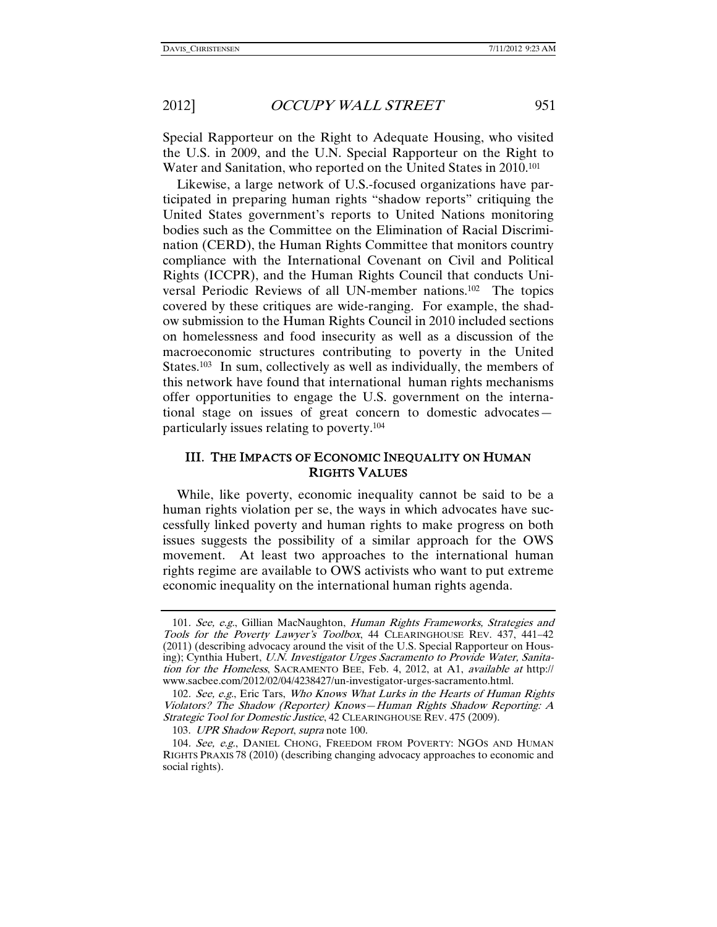Special Rapporteur on the Right to Adequate Housing, who visited the U.S. in 2009, and the U.N. Special Rapporteur on the Right to Water and Sanitation, who reported on the United States in 2010.101

Likewise, a large network of U.S.-focused organizations have participated in preparing human rights "shadow reports" critiquing the United States government's reports to United Nations monitoring bodies such as the Committee on the Elimination of Racial Discrimination (CERD), the Human Rights Committee that monitors country compliance with the International Covenant on Civil and Political Rights (ICCPR), and the Human Rights Council that conducts Universal Periodic Reviews of all UN-member nations.102 The topics covered by these critiques are wide-ranging. For example, the shadow submission to the Human Rights Council in 2010 included sections on homelessness and food insecurity as well as a discussion of the macroeconomic structures contributing to poverty in the United States.<sup>103</sup> In sum, collectively as well as individually, the members of this network have found that international human rights mechanisms offer opportunities to engage the U.S. government on the international stage on issues of great concern to domestic advocates particularly issues relating to poverty.104

#### III. THE IMPACTS OF ECONOMIC INEQUALITY ON HUMAN RIGHTS VALUES

While, like poverty, economic inequality cannot be said to be a human rights violation per se, the ways in which advocates have successfully linked poverty and human rights to make progress on both issues suggests the possibility of a similar approach for the OWS movement. At least two approaches to the international human rights regime are available to OWS activists who want to put extreme economic inequality on the international human rights agenda.

103. UPR Shadow Report, supra note 100.

<sup>101.</sup> See, e.g., Gillian MacNaughton, Human Rights Frameworks, Strategies and Tools for the Poverty Lawyer's Toolbox, 44 CLEARINGHOUSE REV. 437, 441–42 (2011) (describing advocacy around the visit of the U.S. Special Rapporteur on Housing); Cynthia Hubert, U.N. Investigator Urges Sacramento to Provide Water, Sanitation for the Homeless, SACRAMENTO BEE, Feb. 4, 2012, at A1, available at http:// www.sacbee.com/2012/02/04/4238427/un-investigator-urges-sacramento.html.

<sup>102</sup>. See, e.g., Eric Tars, Who Knows What Lurks in the Hearts of Human Rights Violators? The Shadow (Reporter) Knows—Human Rights Shadow Reporting: A Strategic Tool for Domestic Justice, 42 CLEARINGHOUSE REV. 475 (2009).

<sup>104</sup>. See, e.g., DANIEL CHONG, FREEDOM FROM POVERTY: NGOS AND HUMAN RIGHTS PRAXIS 78 (2010) (describing changing advocacy approaches to economic and social rights).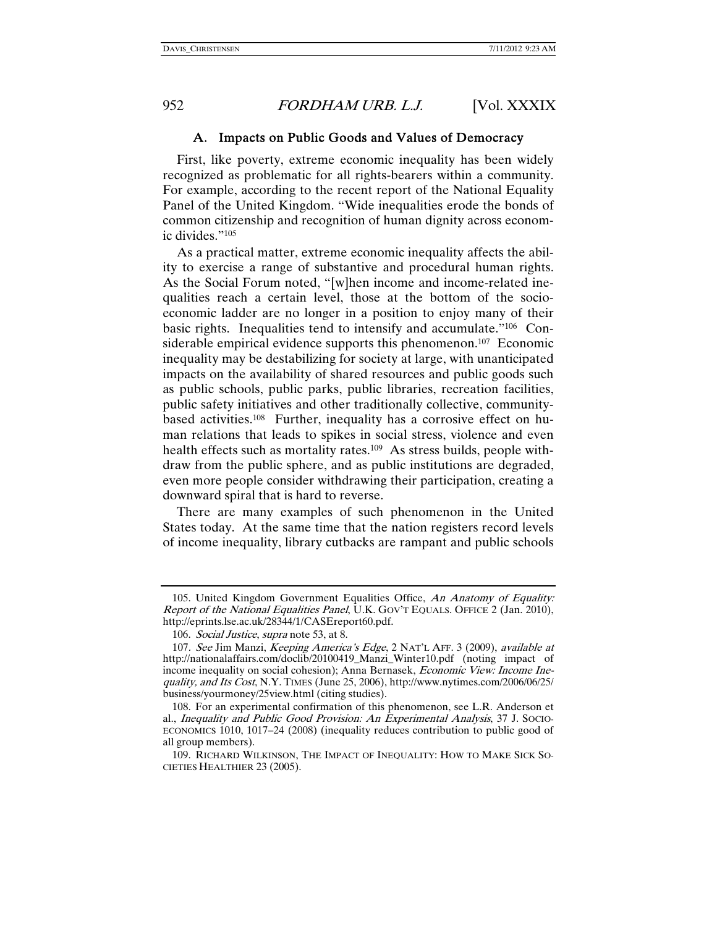#### A. Impacts on Public Goods and Values of Democracy

First, like poverty, extreme economic inequality has been widely recognized as problematic for all rights-bearers within a community. For example, according to the recent report of the National Equality Panel of the United Kingdom. "Wide inequalities erode the bonds of common citizenship and recognition of human dignity across economic divides."105

As a practical matter, extreme economic inequality affects the ability to exercise a range of substantive and procedural human rights. As the Social Forum noted, "[w]hen income and income-related inequalities reach a certain level, those at the bottom of the socioeconomic ladder are no longer in a position to enjoy many of their basic rights. Inequalities tend to intensify and accumulate."106 Considerable empirical evidence supports this phenomenon.<sup>107</sup> Economic inequality may be destabilizing for society at large, with unanticipated impacts on the availability of shared resources and public goods such as public schools, public parks, public libraries, recreation facilities, public safety initiatives and other traditionally collective, communitybased activities.108 Further, inequality has a corrosive effect on human relations that leads to spikes in social stress, violence and even health effects such as mortality rates.<sup>109</sup> As stress builds, people withdraw from the public sphere, and as public institutions are degraded, even more people consider withdrawing their participation, creating a downward spiral that is hard to reverse.

There are many examples of such phenomenon in the United States today. At the same time that the nation registers record levels of income inequality, library cutbacks are rampant and public schools

 <sup>105.</sup> United Kingdom Government Equalities Office, An Anatomy of Equality: Report of the National Equalities Panel, U.K. GOV'T EQUALS. OFFICE 2 (Jan. 2010), http://eprints.lse.ac.uk/28344/1/CASEreport60.pdf.

<sup>106.</sup> Social Justice, supra note 53, at 8.

<sup>107</sup>. See Jim Manzi, Keeping America's Edge, 2 NAT'L AFF. 3 (2009), available at http://nationalaffairs.com/doclib/20100419\_Manzi\_Winter10.pdf (noting impact of income inequality on social cohesion); Anna Bernasek, *Economic View: Income Ine*quality, and Its Cost, N.Y. TIMES (June 25, 2006), http://www.nytimes.com/2006/06/25/ business/yourmoney/25view.html (citing studies).

 <sup>108.</sup> For an experimental confirmation of this phenomenon, see L.R. Anderson et al., Inequality and Public Good Provision: An Experimental Analysis, 37 J. SOCIO-ECONOMICS 1010, 1017–24 (2008) (inequality reduces contribution to public good of all group members).

 <sup>109.</sup> RICHARD WILKINSON, THE IMPACT OF INEQUALITY: HOW TO MAKE SICK SO-CIETIES HEALTHIER 23 (2005).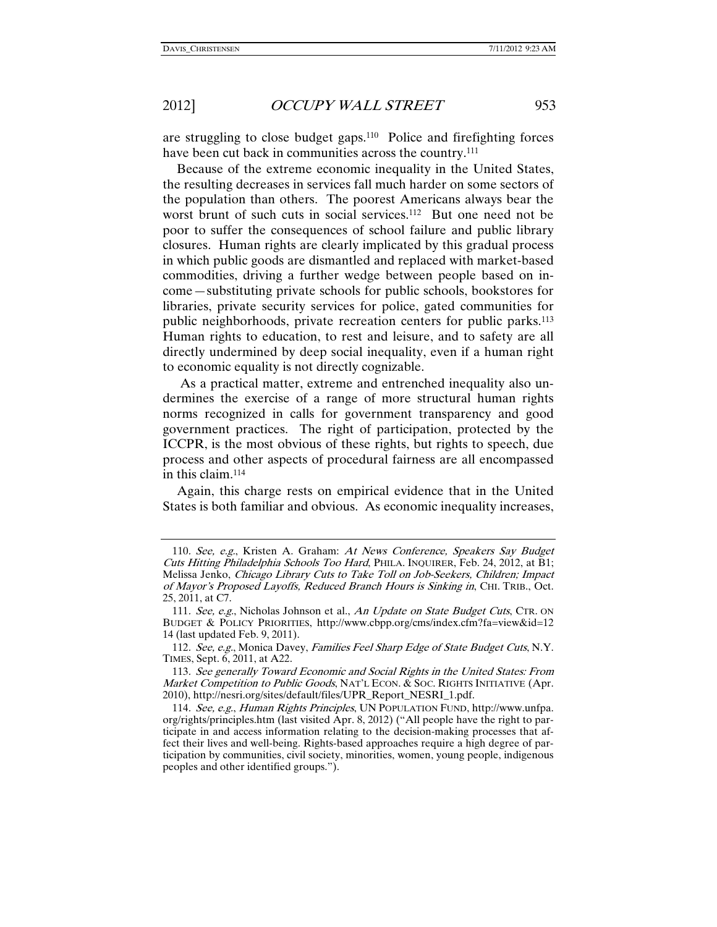are struggling to close budget gaps.110 Police and firefighting forces have been cut back in communities across the country.<sup>111</sup>

Because of the extreme economic inequality in the United States, the resulting decreases in services fall much harder on some sectors of the population than others. The poorest Americans always bear the worst brunt of such cuts in social services.<sup>112</sup> But one need not be poor to suffer the consequences of school failure and public library closures. Human rights are clearly implicated by this gradual process in which public goods are dismantled and replaced with market-based commodities, driving a further wedge between people based on income—substituting private schools for public schools, bookstores for libraries, private security services for police, gated communities for public neighborhoods, private recreation centers for public parks.113 Human rights to education, to rest and leisure, and to safety are all directly undermined by deep social inequality, even if a human right to economic equality is not directly cognizable.

 As a practical matter, extreme and entrenched inequality also undermines the exercise of a range of more structural human rights norms recognized in calls for government transparency and good government practices. The right of participation, protected by the ICCPR, is the most obvious of these rights, but rights to speech, due process and other aspects of procedural fairness are all encompassed in this claim.114

Again, this charge rests on empirical evidence that in the United States is both familiar and obvious. As economic inequality increases,

<sup>110</sup>. See, e.g., Kristen A. Graham: At News Conference, Speakers Say Budget Cuts Hitting Philadelphia Schools Too Hard, PHILA. INQUIRER, Feb. 24, 2012, at B1; Melissa Jenko, Chicago Library Cuts to Take Toll on Job-Seekers, Children; Impact of Mayor's Proposed Layoffs, Reduced Branch Hours is Sinking in, CHI. TRIB., Oct. 25, 2011, at C7.

<sup>111.</sup> See, e.g., Nicholas Johnson et al., An Update on State Budget Cuts, CTR. ON BUDGET & POLICY PRIORITIES, http://www.cbpp.org/cms/index.cfm?fa=view&id=12 14 (last updated Feb. 9, 2011).

<sup>112.</sup> See, e.g., Monica Davey, Families Feel Sharp Edge of State Budget Cuts, N.Y. TIMES, Sept. 6, 2011, at A22.

<sup>113</sup>. See generally Toward Economic and Social Rights in the United States: From Market Competition to Public Goods, NAT'L ECON. & SOC. RIGHTS INITIATIVE (Apr. 2010), http://nesri.org/sites/default/files/UPR\_Report\_NESRI\_1.pdf.

<sup>114</sup>. See, e.g., Human Rights Principles, UN POPULATION FUND, http://www.unfpa. org/rights/principles.htm (last visited Apr. 8, 2012) ("All people have the right to participate in and access information relating to the decision-making processes that affect their lives and well-being. Rights-based approaches require a high degree of participation by communities, civil society, minorities, women, young people, indigenous peoples and other identified groups.").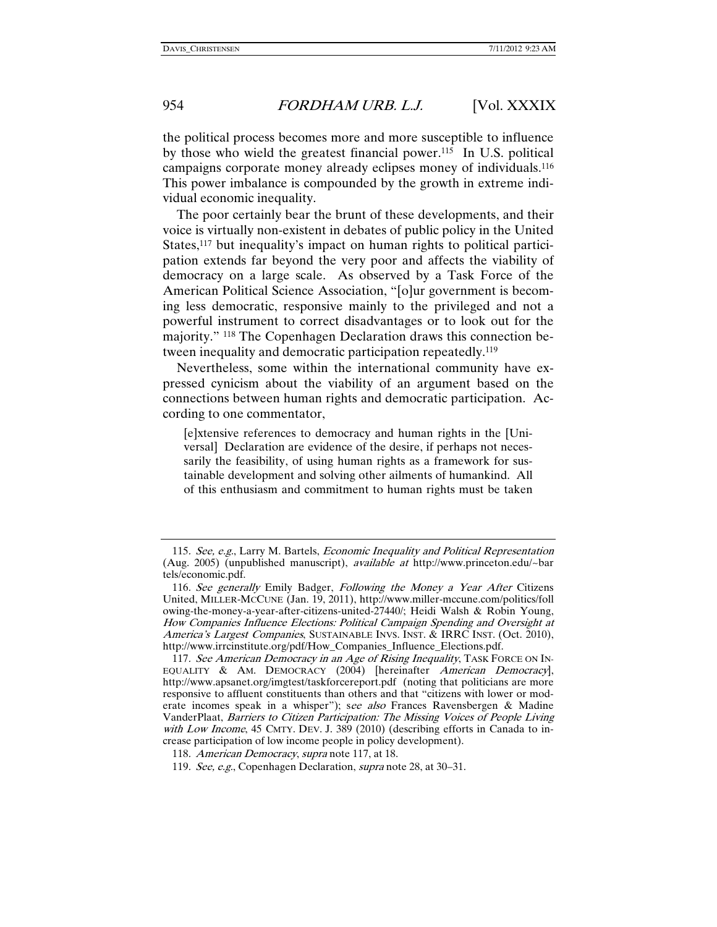the political process becomes more and more susceptible to influence by those who wield the greatest financial power.115 In U.S. political campaigns corporate money already eclipses money of individuals.116 This power imbalance is compounded by the growth in extreme individual economic inequality.

The poor certainly bear the brunt of these developments, and their voice is virtually non-existent in debates of public policy in the United States,<sup>117</sup> but inequality's impact on human rights to political participation extends far beyond the very poor and affects the viability of democracy on a large scale. As observed by a Task Force of the American Political Science Association, "[o]ur government is becoming less democratic, responsive mainly to the privileged and not a powerful instrument to correct disadvantages or to look out for the majority." <sup>118</sup> The Copenhagen Declaration draws this connection between inequality and democratic participation repeatedly.119

Nevertheless, some within the international community have expressed cynicism about the viability of an argument based on the connections between human rights and democratic participation. According to one commentator,

[e]xtensive references to democracy and human rights in the [Universal] Declaration are evidence of the desire, if perhaps not necessarily the feasibility, of using human rights as a framework for sustainable development and solving other ailments of humankind. All of this enthusiasm and commitment to human rights must be taken

<sup>115</sup>. See, e.g., Larry M. Bartels, Economic Inequality and Political Representation (Aug. 2005) (unpublished manuscript), available at http://www.princeton.edu/~bar tels/economic.pdf.

<sup>116.</sup> See generally Emily Badger, Following the Money a Year After Citizens United, MILLER-MCCUNE (Jan. 19, 2011), http://www.miller-mccune.com/politics/foll owing-the-money-a-year-after-citizens-united-27440/; Heidi Walsh & Robin Young, How Companies Influence Elections: Political Campaign Spending and Oversight at America's Largest Companies, SUSTAINABLE INVS. INST. & IRRC INST. (Oct. 2010), http://www.irrcinstitute.org/pdf/How\_Companies\_Influence\_Elections.pdf.

<sup>117.</sup> See American Democracy in an Age of Rising Inequality, TASK FORCE ON IN-EQUALITY & AM. DEMOCRACY (2004) [hereinafter American Democracy], http://www.apsanet.org/imgtest/taskforcereport.pdf (noting that politicians are more responsive to affluent constituents than others and that "citizens with lower or moderate incomes speak in a whisper"); see also Frances Ravensbergen & Madine VanderPlaat, Barriers to Citizen Participation: The Missing Voices of People Living with Low Income, 45 CMTY. DEV. J. 389 (2010) (describing efforts in Canada to increase participation of low income people in policy development).

<sup>118</sup>. American Democracy, supra note 117, at 18.

<sup>119</sup>. See, e.g., Copenhagen Declaration, supra note 28, at 30–31.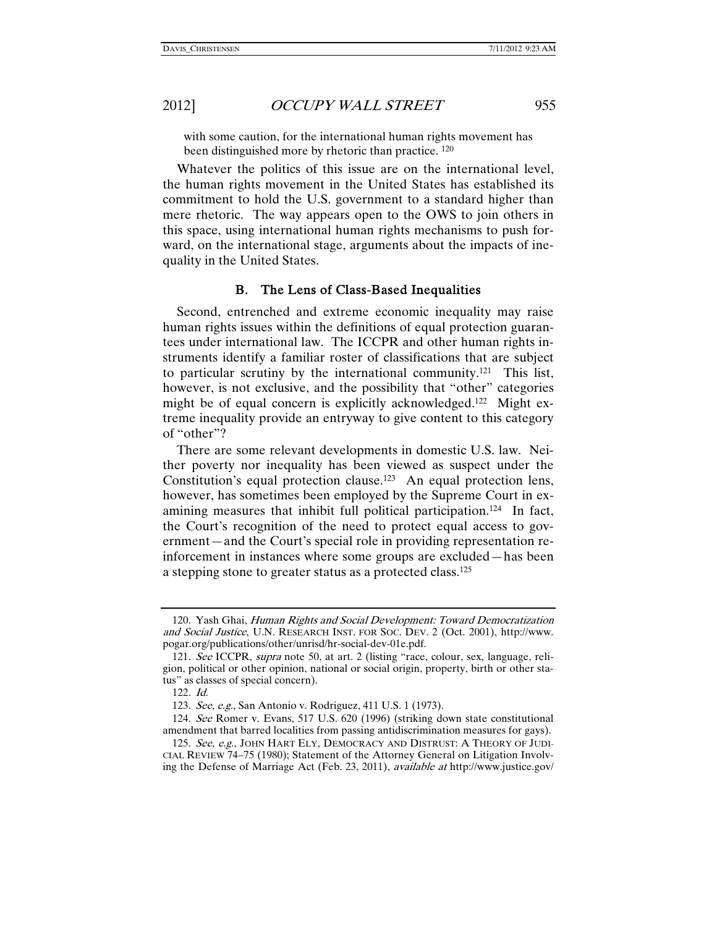with some caution, for the international human rights movement has been distinguished more by rhetoric than practice. <sup>120</sup>

Whatever the politics of this issue are on the international level, the human rights movement in the United States has established its commitment to hold the U.S. government to a standard higher than mere rhetoric. The way appears open to the OWS to join others in this space, using international human rights mechanisms to push forward, on the international stage, arguments about the impacts of inequality in the United States.

#### B. The Lens of Class-Based Inequalities

Second, entrenched and extreme economic inequality may raise human rights issues within the definitions of equal protection guarantees under international law. The ICCPR and other human rights instruments identify a familiar roster of classifications that are subject to particular scrutiny by the international community.121 This list, however, is not exclusive, and the possibility that "other" categories might be of equal concern is explicitly acknowledged.<sup>122</sup> Might extreme inequality provide an entryway to give content to this category of "other"?

There are some relevant developments in domestic U.S. law. Neither poverty nor inequality has been viewed as suspect under the Constitution's equal protection clause.123 An equal protection lens, however, has sometimes been employed by the Supreme Court in examining measures that inhibit full political participation.124 In fact, the Court's recognition of the need to protect equal access to government—and the Court's special role in providing representation reinforcement in instances where some groups are excluded—has been a stepping stone to greater status as a protected class.125

 <sup>120.</sup> Yash Ghai, Human Rights and Social Development: Toward Democratization and Social Justice, U.N. RESEARCH INST. FOR SOC. DEV. 2 (Oct. 2001), http://www. pogar.org/publications/other/unrisd/hr-social-dev-01e.pdf.

<sup>121</sup>. See ICCPR, supra note 50, at art. 2 (listing "race, colour, sex, language, religion, political or other opinion, national or social origin, property, birth or other status" as classes of special concern).

<sup>122</sup>. Id.

<sup>123</sup>. See, e.g., San Antonio v. Rodriguez, 411 U.S. 1 (1973).

<sup>124</sup>. See Romer v. Evans, 517 U.S. 620 (1996) (striking down state constitutional amendment that barred localities from passing antidiscrimination measures for gays).

<sup>125.</sup> See, e.g., JOHN HART ELY, DEMOCRACY AND DISTRUST: A THEORY OF JUDI-CIAL REVIEW 74–75 (1980); Statement of the Attorney General on Litigation Involving the Defense of Marriage Act (Feb. 23, 2011), available at http://www.justice.gov/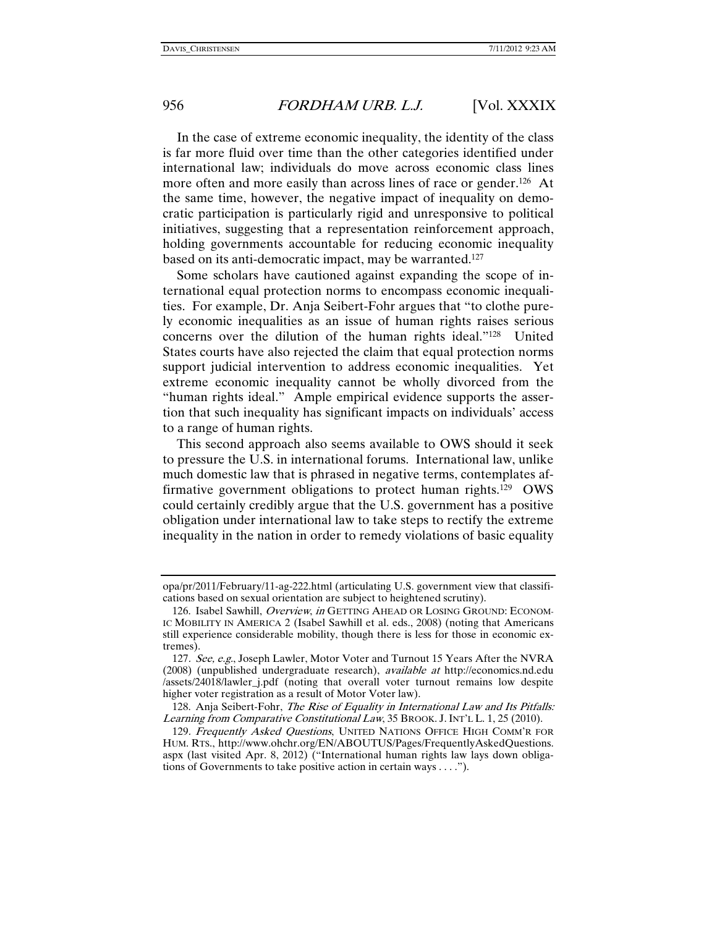In the case of extreme economic inequality, the identity of the class is far more fluid over time than the other categories identified under international law; individuals do move across economic class lines more often and more easily than across lines of race or gender.<sup>126</sup> At the same time, however, the negative impact of inequality on democratic participation is particularly rigid and unresponsive to political initiatives, suggesting that a representation reinforcement approach, holding governments accountable for reducing economic inequality based on its anti-democratic impact, may be warranted.127

Some scholars have cautioned against expanding the scope of international equal protection norms to encompass economic inequalities. For example, Dr. Anja Seibert-Fohr argues that "to clothe purely economic inequalities as an issue of human rights raises serious concerns over the dilution of the human rights ideal."128 United States courts have also rejected the claim that equal protection norms support judicial intervention to address economic inequalities. Yet extreme economic inequality cannot be wholly divorced from the "human rights ideal." Ample empirical evidence supports the assertion that such inequality has significant impacts on individuals' access to a range of human rights.

This second approach also seems available to OWS should it seek to pressure the U.S. in international forums. International law, unlike much domestic law that is phrased in negative terms, contemplates affirmative government obligations to protect human rights.129 OWS could certainly credibly argue that the U.S. government has a positive obligation under international law to take steps to rectify the extreme inequality in the nation in order to remedy violations of basic equality

opa/pr/2011/February/11-ag-222.html (articulating U.S. government view that classifications based on sexual orientation are subject to heightened scrutiny).

<sup>126.</sup> Isabel Sawhill, Overview, in GETTING AHEAD OR LOSING GROUND: ECONOM-IC MOBILITY IN AMERICA 2 (Isabel Sawhill et al. eds., 2008) (noting that Americans still experience considerable mobility, though there is less for those in economic extremes).

<sup>127.</sup> See, e.g., Joseph Lawler, Motor Voter and Turnout 15 Years After the NVRA (2008) (unpublished undergraduate research), available at http://economics.nd.edu /assets/24018/lawler\_j.pdf (noting that overall voter turnout remains low despite higher voter registration as a result of Motor Voter law).

 <sup>128.</sup> Anja Seibert-Fohr, The Rise of Equality in International Law and Its Pitfalls: Learning from Comparative Constitutional Law, 35 BROOK. J.INT'L L. 1, 25 (2010).

<sup>129.</sup> Frequently Asked Questions, UNITED NATIONS OFFICE HIGH COMM'R FOR HUM. RTS., http://www.ohchr.org/EN/ABOUTUS/Pages/FrequentlyAskedQuestions. aspx (last visited Apr. 8, 2012) ("International human rights law lays down obligations of Governments to take positive action in certain ways . . . .").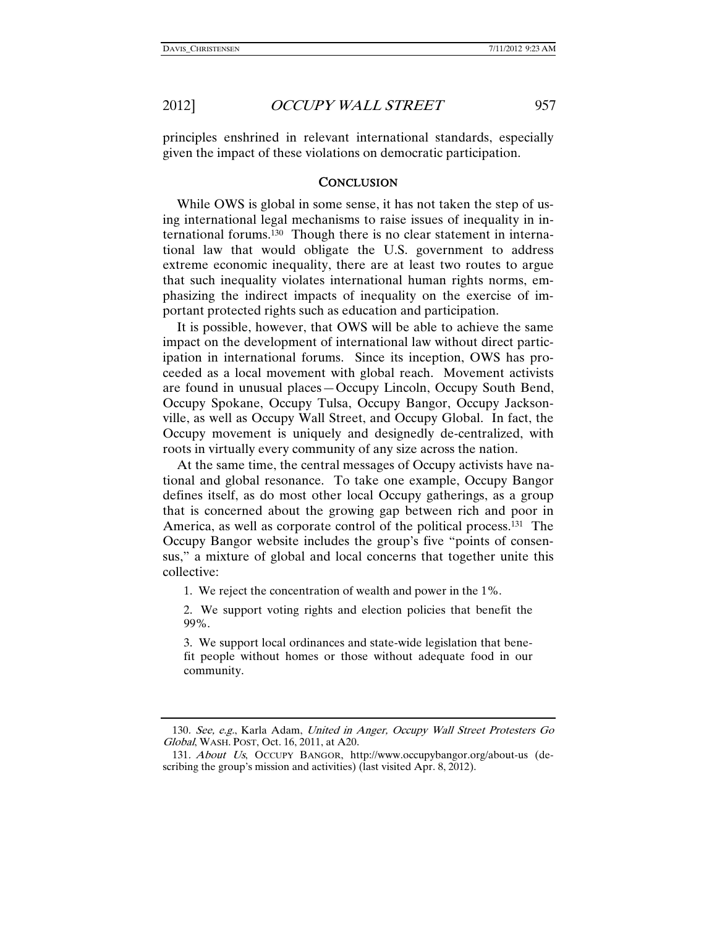principles enshrined in relevant international standards, especially given the impact of these violations on democratic participation.

#### **CONCLUSION**

While OWS is global in some sense, it has not taken the step of using international legal mechanisms to raise issues of inequality in international forums.130 Though there is no clear statement in international law that would obligate the U.S. government to address extreme economic inequality, there are at least two routes to argue that such inequality violates international human rights norms, emphasizing the indirect impacts of inequality on the exercise of important protected rights such as education and participation.

It is possible, however, that OWS will be able to achieve the same impact on the development of international law without direct participation in international forums. Since its inception, OWS has proceeded as a local movement with global reach. Movement activists are found in unusual places—Occupy Lincoln, Occupy South Bend, Occupy Spokane, Occupy Tulsa, Occupy Bangor, Occupy Jacksonville, as well as Occupy Wall Street, and Occupy Global. In fact, the Occupy movement is uniquely and designedly de-centralized, with roots in virtually every community of any size across the nation.

At the same time, the central messages of Occupy activists have national and global resonance. To take one example, Occupy Bangor defines itself, as do most other local Occupy gatherings, as a group that is concerned about the growing gap between rich and poor in America, as well as corporate control of the political process.131 The Occupy Bangor website includes the group's five "points of consensus," a mixture of global and local concerns that together unite this collective:

1. We reject the concentration of wealth and power in the 1%.

2. We support voting rights and election policies that benefit the 99%.

3. We support local ordinances and state-wide legislation that benefit people without homes or those without adequate food in our community.

<sup>130</sup>. See, e.g., Karla Adam, United in Anger, Occupy Wall Street Protesters Go Global, WASH. POST, Oct. 16, 2011, at A20.

<sup>131</sup>. About Us, OCCUPY BANGOR, http://www.occupybangor.org/about-us (describing the group's mission and activities) (last visited Apr. 8, 2012).